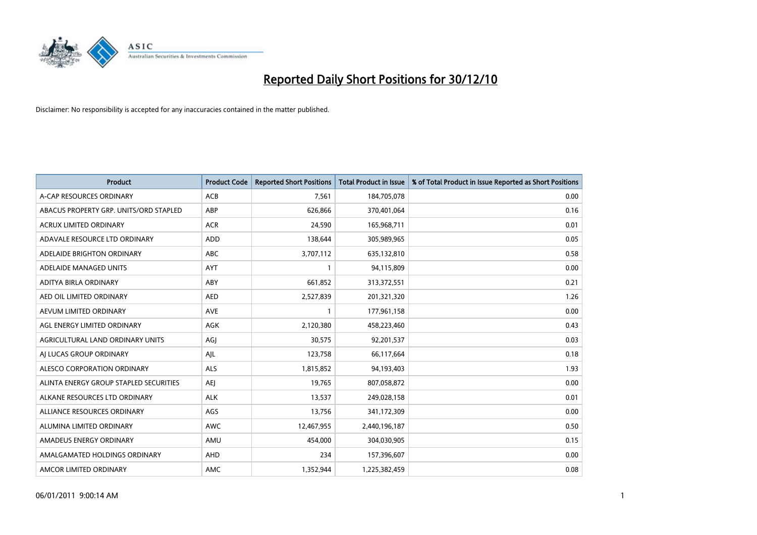

| Product                                | <b>Product Code</b> | <b>Reported Short Positions</b> | <b>Total Product in Issue</b> | % of Total Product in Issue Reported as Short Positions |
|----------------------------------------|---------------------|---------------------------------|-------------------------------|---------------------------------------------------------|
| A-CAP RESOURCES ORDINARY               | ACB                 | 7,561                           | 184,705,078                   | 0.00                                                    |
| ABACUS PROPERTY GRP. UNITS/ORD STAPLED | ABP                 | 626,866                         | 370,401,064                   | 0.16                                                    |
| <b>ACRUX LIMITED ORDINARY</b>          | <b>ACR</b>          | 24,590                          | 165,968,711                   | 0.01                                                    |
| ADAVALE RESOURCE LTD ORDINARY          | <b>ADD</b>          | 138,644                         | 305,989,965                   | 0.05                                                    |
| ADELAIDE BRIGHTON ORDINARY             | <b>ABC</b>          | 3,707,112                       | 635,132,810                   | 0.58                                                    |
| ADELAIDE MANAGED UNITS                 | <b>AYT</b>          | $\mathbf{1}$                    | 94,115,809                    | 0.00                                                    |
| ADITYA BIRLA ORDINARY                  | ABY                 | 661,852                         | 313,372,551                   | 0.21                                                    |
| AED OIL LIMITED ORDINARY               | <b>AED</b>          | 2,527,839                       | 201,321,320                   | 1.26                                                    |
| AEVUM LIMITED ORDINARY                 | <b>AVE</b>          | 1                               | 177,961,158                   | 0.00                                                    |
| AGL ENERGY LIMITED ORDINARY            | <b>AGK</b>          | 2,120,380                       | 458,223,460                   | 0.43                                                    |
| AGRICULTURAL LAND ORDINARY UNITS       | AGJ                 | 30,575                          | 92,201,537                    | 0.03                                                    |
| AI LUCAS GROUP ORDINARY                | AJL                 | 123,758                         | 66,117,664                    | 0.18                                                    |
| ALESCO CORPORATION ORDINARY            | <b>ALS</b>          | 1,815,852                       | 94,193,403                    | 1.93                                                    |
| ALINTA ENERGY GROUP STAPLED SECURITIES | AEJ                 | 19,765                          | 807,058,872                   | 0.00                                                    |
| ALKANE RESOURCES LTD ORDINARY          | <b>ALK</b>          | 13,537                          | 249,028,158                   | 0.01                                                    |
| ALLIANCE RESOURCES ORDINARY            | AGS                 | 13,756                          | 341,172,309                   | 0.00                                                    |
| ALUMINA LIMITED ORDINARY               | <b>AWC</b>          | 12,467,955                      | 2,440,196,187                 | 0.50                                                    |
| AMADEUS ENERGY ORDINARY                | AMU                 | 454,000                         | 304,030,905                   | 0.15                                                    |
| AMALGAMATED HOLDINGS ORDINARY          | <b>AHD</b>          | 234                             | 157,396,607                   | 0.00                                                    |
| AMCOR LIMITED ORDINARY                 | AMC                 | 1,352,944                       | 1,225,382,459                 | 0.08                                                    |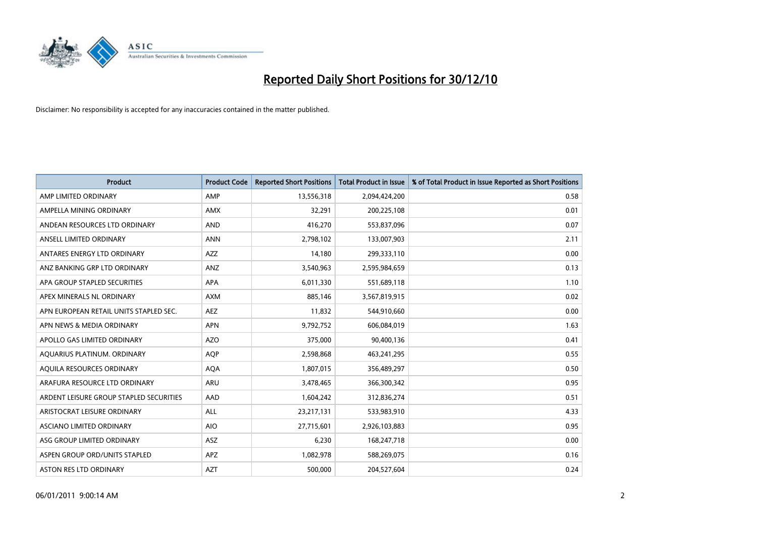

| <b>Product</b>                          | <b>Product Code</b> | <b>Reported Short Positions</b> | <b>Total Product in Issue</b> | % of Total Product in Issue Reported as Short Positions |
|-----------------------------------------|---------------------|---------------------------------|-------------------------------|---------------------------------------------------------|
| AMP LIMITED ORDINARY                    | AMP                 | 13,556,318                      | 2,094,424,200                 | 0.58                                                    |
| AMPELLA MINING ORDINARY                 | <b>AMX</b>          | 32,291                          | 200,225,108                   | 0.01                                                    |
| ANDEAN RESOURCES LTD ORDINARY           | <b>AND</b>          | 416,270                         | 553,837,096                   | 0.07                                                    |
| ANSELL LIMITED ORDINARY                 | <b>ANN</b>          | 2,798,102                       | 133,007,903                   | 2.11                                                    |
| ANTARES ENERGY LTD ORDINARY             | AZZ                 | 14,180                          | 299,333,110                   | 0.00                                                    |
| ANZ BANKING GRP LTD ORDINARY            | ANZ                 | 3,540,963                       | 2,595,984,659                 | 0.13                                                    |
| APA GROUP STAPLED SECURITIES            | <b>APA</b>          | 6,011,330                       | 551,689,118                   | 1.10                                                    |
| APEX MINERALS NL ORDINARY               | <b>AXM</b>          | 885,146                         | 3,567,819,915                 | 0.02                                                    |
| APN EUROPEAN RETAIL UNITS STAPLED SEC.  | <b>AEZ</b>          | 11,832                          | 544,910,660                   | 0.00                                                    |
| APN NEWS & MEDIA ORDINARY               | <b>APN</b>          | 9,792,752                       | 606,084,019                   | 1.63                                                    |
| APOLLO GAS LIMITED ORDINARY             | <b>AZO</b>          | 375,000                         | 90,400,136                    | 0.41                                                    |
| AQUARIUS PLATINUM. ORDINARY             | <b>AQP</b>          | 2,598,868                       | 463,241,295                   | 0.55                                                    |
| AQUILA RESOURCES ORDINARY               | <b>AQA</b>          | 1,807,015                       | 356,489,297                   | 0.50                                                    |
| ARAFURA RESOURCE LTD ORDINARY           | <b>ARU</b>          | 3,478,465                       | 366,300,342                   | 0.95                                                    |
| ARDENT LEISURE GROUP STAPLED SECURITIES | AAD                 | 1,604,242                       | 312,836,274                   | 0.51                                                    |
| ARISTOCRAT LEISURE ORDINARY             | ALL                 | 23,217,131                      | 533,983,910                   | 4.33                                                    |
| ASCIANO LIMITED ORDINARY                | <b>AIO</b>          | 27,715,601                      | 2,926,103,883                 | 0.95                                                    |
| ASG GROUP LIMITED ORDINARY              | <b>ASZ</b>          | 6,230                           | 168,247,718                   | 0.00                                                    |
| ASPEN GROUP ORD/UNITS STAPLED           | APZ                 | 1,082,978                       | 588,269,075                   | 0.16                                                    |
| ASTON RES LTD ORDINARY                  | <b>AZT</b>          | 500,000                         | 204,527,604                   | 0.24                                                    |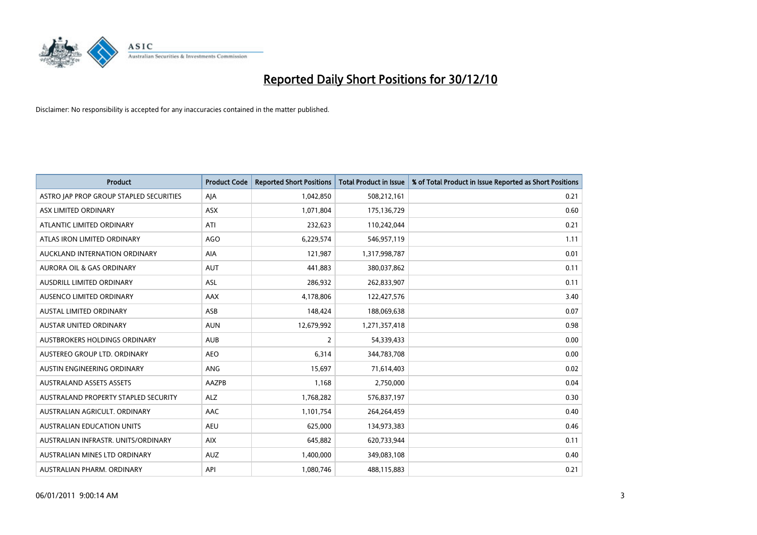

| Product                                 | <b>Product Code</b> | <b>Reported Short Positions</b> | <b>Total Product in Issue</b> | % of Total Product in Issue Reported as Short Positions |
|-----------------------------------------|---------------------|---------------------------------|-------------------------------|---------------------------------------------------------|
| ASTRO JAP PROP GROUP STAPLED SECURITIES | AJA                 | 1,042,850                       | 508,212,161                   | 0.21                                                    |
| ASX LIMITED ORDINARY                    | ASX                 | 1,071,804                       | 175,136,729                   | 0.60                                                    |
| ATLANTIC LIMITED ORDINARY               | ATI                 | 232,623                         | 110,242,044                   | 0.21                                                    |
| ATLAS IRON LIMITED ORDINARY             | <b>AGO</b>          | 6,229,574                       | 546,957,119                   | 1.11                                                    |
| AUCKLAND INTERNATION ORDINARY           | AIA                 | 121,987                         | 1,317,998,787                 | 0.01                                                    |
| <b>AURORA OIL &amp; GAS ORDINARY</b>    | <b>AUT</b>          | 441,883                         | 380,037,862                   | 0.11                                                    |
| AUSDRILL LIMITED ORDINARY               | ASL                 | 286,932                         | 262,833,907                   | 0.11                                                    |
| AUSENCO LIMITED ORDINARY                | AAX                 | 4,178,806                       | 122,427,576                   | 3.40                                                    |
| <b>AUSTAL LIMITED ORDINARY</b>          | ASB                 | 148,424                         | 188,069,638                   | 0.07                                                    |
| <b>AUSTAR UNITED ORDINARY</b>           | <b>AUN</b>          | 12,679,992                      | 1,271,357,418                 | 0.98                                                    |
| AUSTBROKERS HOLDINGS ORDINARY           | <b>AUB</b>          | 2                               | 54,339,433                    | 0.00                                                    |
| AUSTEREO GROUP LTD. ORDINARY            | <b>AEO</b>          | 6,314                           | 344,783,708                   | 0.00                                                    |
| AUSTIN ENGINEERING ORDINARY             | ANG                 | 15,697                          | 71,614,403                    | 0.02                                                    |
| <b>AUSTRALAND ASSETS ASSETS</b>         | AAZPB               | 1,168                           | 2,750,000                     | 0.04                                                    |
| AUSTRALAND PROPERTY STAPLED SECURITY    | <b>ALZ</b>          | 1,768,282                       | 576,837,197                   | 0.30                                                    |
| AUSTRALIAN AGRICULT, ORDINARY           | AAC                 | 1,101,754                       | 264,264,459                   | 0.40                                                    |
| AUSTRALIAN EDUCATION UNITS              | <b>AEU</b>          | 625,000                         | 134,973,383                   | 0.46                                                    |
| AUSTRALIAN INFRASTR, UNITS/ORDINARY     | <b>AIX</b>          | 645,882                         | 620,733,944                   | 0.11                                                    |
| AUSTRALIAN MINES LTD ORDINARY           | <b>AUZ</b>          | 1,400,000                       | 349,083,108                   | 0.40                                                    |
| AUSTRALIAN PHARM, ORDINARY              | API                 | 1,080,746                       | 488,115,883                   | 0.21                                                    |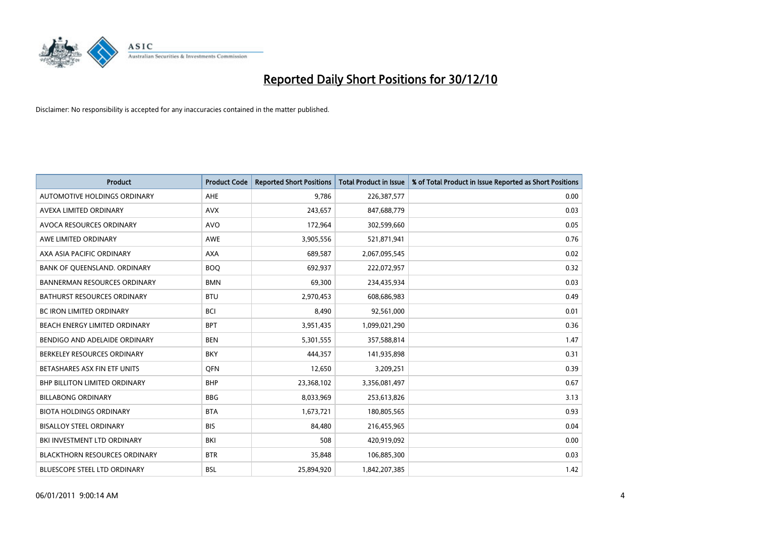

| Product                              | <b>Product Code</b> | <b>Reported Short Positions</b> | <b>Total Product in Issue</b> | % of Total Product in Issue Reported as Short Positions |
|--------------------------------------|---------------------|---------------------------------|-------------------------------|---------------------------------------------------------|
| AUTOMOTIVE HOLDINGS ORDINARY         | <b>AHE</b>          | 9,786                           | 226,387,577                   | 0.00                                                    |
| AVEXA LIMITED ORDINARY               | <b>AVX</b>          | 243,657                         | 847,688,779                   | 0.03                                                    |
| AVOCA RESOURCES ORDINARY             | <b>AVO</b>          | 172,964                         | 302,599,660                   | 0.05                                                    |
| AWE LIMITED ORDINARY                 | AWE                 | 3,905,556                       | 521,871,941                   | 0.76                                                    |
| AXA ASIA PACIFIC ORDINARY            | <b>AXA</b>          | 689,587                         | 2,067,095,545                 | 0.02                                                    |
| BANK OF QUEENSLAND. ORDINARY         | <b>BOO</b>          | 692,937                         | 222,072,957                   | 0.32                                                    |
| <b>BANNERMAN RESOURCES ORDINARY</b>  | <b>BMN</b>          | 69,300                          | 234,435,934                   | 0.03                                                    |
| BATHURST RESOURCES ORDINARY          | <b>BTU</b>          | 2,970,453                       | 608,686,983                   | 0.49                                                    |
| <b>BC IRON LIMITED ORDINARY</b>      | <b>BCI</b>          | 8,490                           | 92,561,000                    | 0.01                                                    |
| BEACH ENERGY LIMITED ORDINARY        | <b>BPT</b>          | 3,951,435                       | 1,099,021,290                 | 0.36                                                    |
| BENDIGO AND ADELAIDE ORDINARY        | <b>BEN</b>          | 5,301,555                       | 357,588,814                   | 1.47                                                    |
| BERKELEY RESOURCES ORDINARY          | <b>BKY</b>          | 444,357                         | 141,935,898                   | 0.31                                                    |
| BETASHARES ASX FIN ETF UNITS         | <b>OFN</b>          | 12,650                          | 3,209,251                     | 0.39                                                    |
| <b>BHP BILLITON LIMITED ORDINARY</b> | <b>BHP</b>          | 23,368,102                      | 3,356,081,497                 | 0.67                                                    |
| <b>BILLABONG ORDINARY</b>            | <b>BBG</b>          | 8,033,969                       | 253,613,826                   | 3.13                                                    |
| <b>BIOTA HOLDINGS ORDINARY</b>       | <b>BTA</b>          | 1,673,721                       | 180,805,565                   | 0.93                                                    |
| <b>BISALLOY STEEL ORDINARY</b>       | <b>BIS</b>          | 84,480                          | 216,455,965                   | 0.04                                                    |
| BKI INVESTMENT LTD ORDINARY          | BKI                 | 508                             | 420,919,092                   | 0.00                                                    |
| <b>BLACKTHORN RESOURCES ORDINARY</b> | <b>BTR</b>          | 35,848                          | 106,885,300                   | 0.03                                                    |
| BLUESCOPE STEEL LTD ORDINARY         | <b>BSL</b>          | 25,894,920                      | 1,842,207,385                 | 1.42                                                    |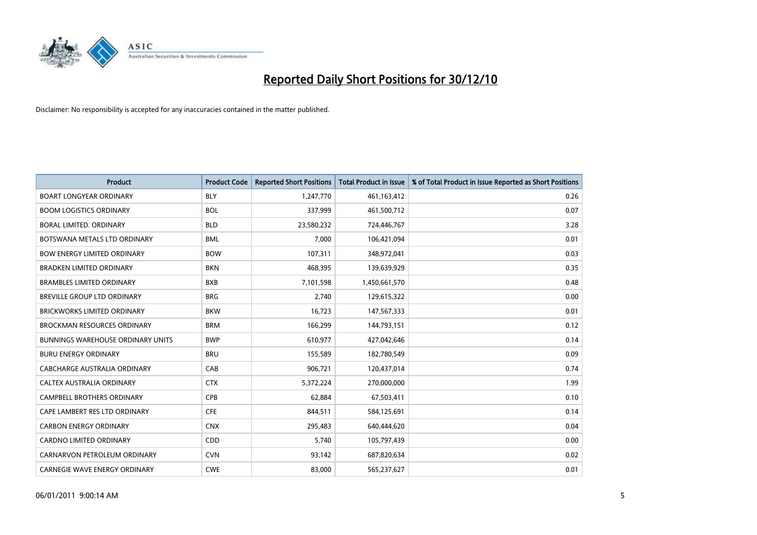

| Product                              | <b>Product Code</b> | <b>Reported Short Positions</b> | <b>Total Product in Issue</b> | % of Total Product in Issue Reported as Short Positions |
|--------------------------------------|---------------------|---------------------------------|-------------------------------|---------------------------------------------------------|
| <b>BOART LONGYEAR ORDINARY</b>       | <b>BLY</b>          | 1,247,770                       | 461,163,412                   | 0.26                                                    |
| <b>BOOM LOGISTICS ORDINARY</b>       | <b>BOL</b>          | 337,999                         | 461,500,712                   | 0.07                                                    |
| <b>BORAL LIMITED, ORDINARY</b>       | <b>BLD</b>          | 23,580,232                      | 724,446,767                   | 3.28                                                    |
| BOTSWANA METALS LTD ORDINARY         | <b>BML</b>          | 7,000                           | 106,421,094                   | 0.01                                                    |
| <b>BOW ENERGY LIMITED ORDINARY</b>   | <b>BOW</b>          | 107,311                         | 348,972,041                   | 0.03                                                    |
| <b>BRADKEN LIMITED ORDINARY</b>      | <b>BKN</b>          | 468,395                         | 139,639,929                   | 0.35                                                    |
| <b>BRAMBLES LIMITED ORDINARY</b>     | <b>BXB</b>          | 7,101,598                       | 1,450,661,570                 | 0.48                                                    |
| BREVILLE GROUP LTD ORDINARY          | <b>BRG</b>          | 2,740                           | 129,615,322                   | 0.00                                                    |
| <b>BRICKWORKS LIMITED ORDINARY</b>   | <b>BKW</b>          | 16,723                          | 147,567,333                   | 0.01                                                    |
| <b>BROCKMAN RESOURCES ORDINARY</b>   | <b>BRM</b>          | 166,299                         | 144,793,151                   | 0.12                                                    |
| BUNNINGS WAREHOUSE ORDINARY UNITS    | <b>BWP</b>          | 610,977                         | 427,042,646                   | 0.14                                                    |
| <b>BURU ENERGY ORDINARY</b>          | <b>BRU</b>          | 155,589                         | 182,780,549                   | 0.09                                                    |
| <b>CABCHARGE AUSTRALIA ORDINARY</b>  | CAB                 | 906,721                         | 120,437,014                   | 0.74                                                    |
| CALTEX AUSTRALIA ORDINARY            | <b>CTX</b>          | 5,372,224                       | 270,000,000                   | 1.99                                                    |
| <b>CAMPBELL BROTHERS ORDINARY</b>    | <b>CPB</b>          | 62,884                          | 67,503,411                    | 0.10                                                    |
| CAPE LAMBERT RES LTD ORDINARY        | <b>CFE</b>          | 844,511                         | 584,125,691                   | 0.14                                                    |
| <b>CARBON ENERGY ORDINARY</b>        | <b>CNX</b>          | 295,483                         | 640,444,620                   | 0.04                                                    |
| CARDNO LIMITED ORDINARY              | CDD                 | 5,740                           | 105,797,439                   | 0.00                                                    |
| CARNARVON PETROLEUM ORDINARY         | <b>CVN</b>          | 93,142                          | 687,820,634                   | 0.02                                                    |
| <b>CARNEGIE WAVE ENERGY ORDINARY</b> | <b>CWE</b>          | 83,000                          | 565,237,627                   | 0.01                                                    |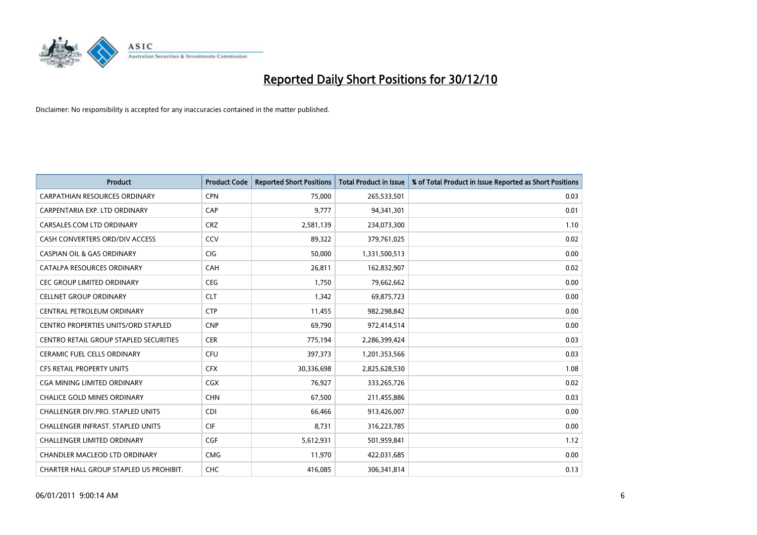

| <b>Product</b>                             | <b>Product Code</b> | <b>Reported Short Positions</b> | <b>Total Product in Issue</b> | % of Total Product in Issue Reported as Short Positions |
|--------------------------------------------|---------------------|---------------------------------|-------------------------------|---------------------------------------------------------|
| <b>CARPATHIAN RESOURCES ORDINARY</b>       | <b>CPN</b>          | 75,000                          | 265,533,501                   | 0.03                                                    |
| CARPENTARIA EXP. LTD ORDINARY              | CAP                 | 9,777                           | 94,341,301                    | 0.01                                                    |
| CARSALES.COM LTD ORDINARY                  | CRZ                 | 2,581,139                       | 234,073,300                   | 1.10                                                    |
| CASH CONVERTERS ORD/DIV ACCESS             | CCV                 | 89,322                          | 379,761,025                   | 0.02                                                    |
| <b>CASPIAN OIL &amp; GAS ORDINARY</b>      | CIG                 | 50,000                          | 1,331,500,513                 | 0.00                                                    |
| CATALPA RESOURCES ORDINARY                 | CAH                 | 26,811                          | 162,832,907                   | 0.02                                                    |
| CEC GROUP LIMITED ORDINARY                 | <b>CEG</b>          | 1,750                           | 79,662,662                    | 0.00                                                    |
| <b>CELLNET GROUP ORDINARY</b>              | <b>CLT</b>          | 1,342                           | 69,875,723                    | 0.00                                                    |
| CENTRAL PETROLEUM ORDINARY                 | <b>CTP</b>          | 11,455                          | 982,298,842                   | 0.00                                                    |
| <b>CENTRO PROPERTIES UNITS/ORD STAPLED</b> | <b>CNP</b>          | 69,790                          | 972,414,514                   | 0.00                                                    |
| CENTRO RETAIL GROUP STAPLED SECURITIES     | <b>CER</b>          | 775,194                         | 2,286,399,424                 | 0.03                                                    |
| <b>CERAMIC FUEL CELLS ORDINARY</b>         | <b>CFU</b>          | 397,373                         | 1,201,353,566                 | 0.03                                                    |
| CFS RETAIL PROPERTY UNITS                  | <b>CFX</b>          | 30,336,698                      | 2,825,628,530                 | 1.08                                                    |
| <b>CGA MINING LIMITED ORDINARY</b>         | CGX                 | 76,927                          | 333,265,726                   | 0.02                                                    |
| <b>CHALICE GOLD MINES ORDINARY</b>         | <b>CHN</b>          | 67,500                          | 211,455,886                   | 0.03                                                    |
| <b>CHALLENGER DIV.PRO. STAPLED UNITS</b>   | <b>CDI</b>          | 66,466                          | 913,426,007                   | 0.00                                                    |
| CHALLENGER INFRAST. STAPLED UNITS          | <b>CIF</b>          | 8,731                           | 316,223,785                   | 0.00                                                    |
| CHALLENGER LIMITED ORDINARY                | <b>CGF</b>          | 5,612,931                       | 501,959,841                   | 1.12                                                    |
| CHANDLER MACLEOD LTD ORDINARY              | <b>CMG</b>          | 11,970                          | 422,031,685                   | 0.00                                                    |
| CHARTER HALL GROUP STAPLED US PROHIBIT.    | <b>CHC</b>          | 416,085                         | 306,341,814                   | 0.13                                                    |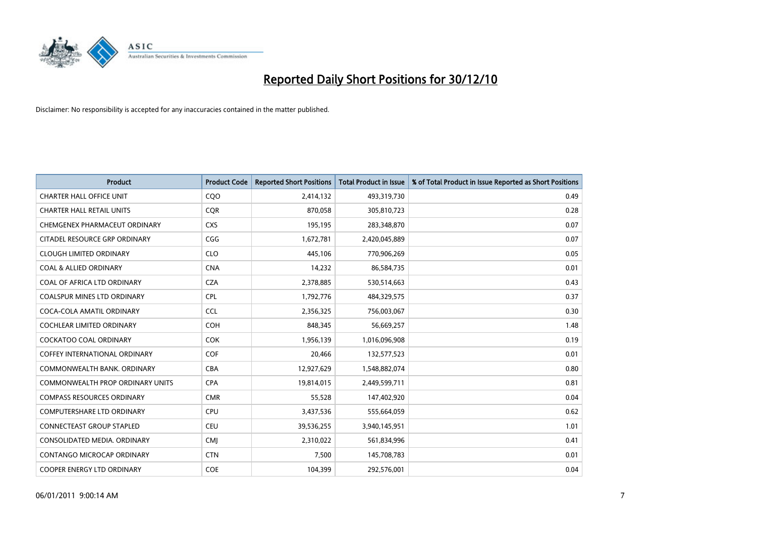

| Product                                 | <b>Product Code</b> | <b>Reported Short Positions</b> | <b>Total Product in Issue</b> | % of Total Product in Issue Reported as Short Positions |
|-----------------------------------------|---------------------|---------------------------------|-------------------------------|---------------------------------------------------------|
| <b>CHARTER HALL OFFICE UNIT</b>         | COO                 | 2,414,132                       | 493,319,730                   | 0.49                                                    |
| <b>CHARTER HALL RETAIL UNITS</b>        | <b>CQR</b>          | 870,058                         | 305,810,723                   | 0.28                                                    |
| CHEMGENEX PHARMACEUT ORDINARY           | <b>CXS</b>          | 195,195                         | 283,348,870                   | 0.07                                                    |
| CITADEL RESOURCE GRP ORDINARY           | CGG                 | 1,672,781                       | 2,420,045,889                 | 0.07                                                    |
| <b>CLOUGH LIMITED ORDINARY</b>          | <b>CLO</b>          | 445,106                         | 770,906,269                   | 0.05                                                    |
| <b>COAL &amp; ALLIED ORDINARY</b>       | <b>CNA</b>          | 14,232                          | 86,584,735                    | 0.01                                                    |
| COAL OF AFRICA LTD ORDINARY             | <b>CZA</b>          | 2,378,885                       | 530,514,663                   | 0.43                                                    |
| <b>COALSPUR MINES LTD ORDINARY</b>      | <b>CPL</b>          | 1,792,776                       | 484,329,575                   | 0.37                                                    |
| COCA-COLA AMATIL ORDINARY               | <b>CCL</b>          | 2,356,325                       | 756,003,067                   | 0.30                                                    |
| <b>COCHLEAR LIMITED ORDINARY</b>        | <b>COH</b>          | 848,345                         | 56,669,257                    | 1.48                                                    |
| <b>COCKATOO COAL ORDINARY</b>           | <b>COK</b>          | 1,956,139                       | 1,016,096,908                 | 0.19                                                    |
| <b>COFFEY INTERNATIONAL ORDINARY</b>    | <b>COF</b>          | 20,466                          | 132,577,523                   | 0.01                                                    |
| COMMONWEALTH BANK, ORDINARY             | <b>CBA</b>          | 12,927,629                      | 1,548,882,074                 | 0.80                                                    |
| <b>COMMONWEALTH PROP ORDINARY UNITS</b> | <b>CPA</b>          | 19,814,015                      | 2,449,599,711                 | 0.81                                                    |
| <b>COMPASS RESOURCES ORDINARY</b>       | <b>CMR</b>          | 55,528                          | 147,402,920                   | 0.04                                                    |
| <b>COMPUTERSHARE LTD ORDINARY</b>       | <b>CPU</b>          | 3,437,536                       | 555,664,059                   | 0.62                                                    |
| <b>CONNECTEAST GROUP STAPLED</b>        | <b>CEU</b>          | 39,536,255                      | 3,940,145,951                 | 1.01                                                    |
| CONSOLIDATED MEDIA, ORDINARY            | <b>CMJ</b>          | 2,310,022                       | 561,834,996                   | 0.41                                                    |
| CONTANGO MICROCAP ORDINARY              | <b>CTN</b>          | 7,500                           | 145,708,783                   | 0.01                                                    |
| COOPER ENERGY LTD ORDINARY              | <b>COE</b>          | 104,399                         | 292,576,001                   | 0.04                                                    |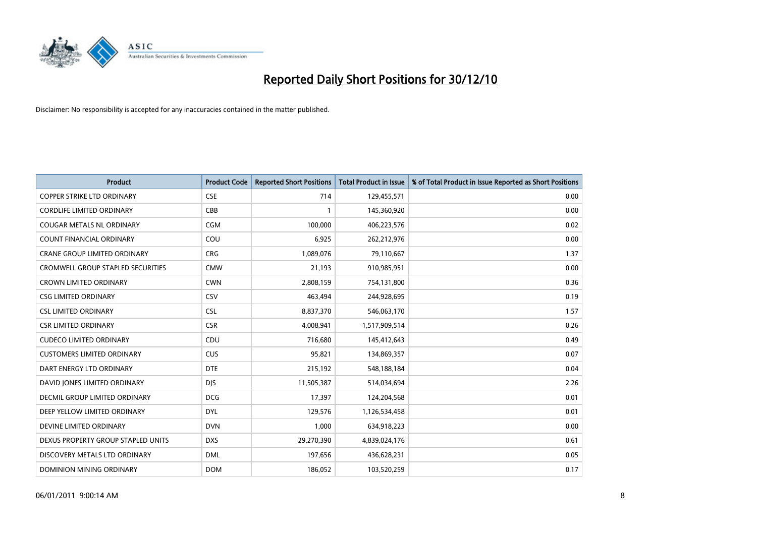

| Product                                  | <b>Product Code</b> | <b>Reported Short Positions</b> | <b>Total Product in Issue</b> | % of Total Product in Issue Reported as Short Positions |
|------------------------------------------|---------------------|---------------------------------|-------------------------------|---------------------------------------------------------|
| <b>COPPER STRIKE LTD ORDINARY</b>        | <b>CSE</b>          | 714                             | 129,455,571                   | 0.00                                                    |
| <b>CORDLIFE LIMITED ORDINARY</b>         | <b>CBB</b>          |                                 | 145,360,920                   | 0.00                                                    |
| <b>COUGAR METALS NL ORDINARY</b>         | <b>CGM</b>          | 100,000                         | 406,223,576                   | 0.02                                                    |
| COUNT FINANCIAL ORDINARY                 | COU                 | 6,925                           | 262,212,976                   | 0.00                                                    |
| <b>CRANE GROUP LIMITED ORDINARY</b>      | <b>CRG</b>          | 1,089,076                       | 79,110,667                    | 1.37                                                    |
| <b>CROMWELL GROUP STAPLED SECURITIES</b> | <b>CMW</b>          | 21,193                          | 910,985,951                   | 0.00                                                    |
| <b>CROWN LIMITED ORDINARY</b>            | <b>CWN</b>          | 2,808,159                       | 754,131,800                   | 0.36                                                    |
| <b>CSG LIMITED ORDINARY</b>              | CSV                 | 463,494                         | 244,928,695                   | 0.19                                                    |
| <b>CSL LIMITED ORDINARY</b>              | <b>CSL</b>          | 8,837,370                       | 546,063,170                   | 1.57                                                    |
| <b>CSR LIMITED ORDINARY</b>              | <b>CSR</b>          | 4,008,941                       | 1,517,909,514                 | 0.26                                                    |
| <b>CUDECO LIMITED ORDINARY</b>           | CDU                 | 716,680                         | 145,412,643                   | 0.49                                                    |
| <b>CUSTOMERS LIMITED ORDINARY</b>        | <b>CUS</b>          | 95,821                          | 134,869,357                   | 0.07                                                    |
| DART ENERGY LTD ORDINARY                 | <b>DTE</b>          | 215,192                         | 548,188,184                   | 0.04                                                    |
| DAVID JONES LIMITED ORDINARY             | <b>DJS</b>          | 11,505,387                      | 514,034,694                   | 2.26                                                    |
| DECMIL GROUP LIMITED ORDINARY            | <b>DCG</b>          | 17,397                          | 124,204,568                   | 0.01                                                    |
| DEEP YELLOW LIMITED ORDINARY             | <b>DYL</b>          | 129,576                         | 1,126,534,458                 | 0.01                                                    |
| DEVINE LIMITED ORDINARY                  | <b>DVN</b>          | 1,000                           | 634,918,223                   | 0.00                                                    |
| DEXUS PROPERTY GROUP STAPLED UNITS       | <b>DXS</b>          | 29,270,390                      | 4,839,024,176                 | 0.61                                                    |
| DISCOVERY METALS LTD ORDINARY            | <b>DML</b>          | 197,656                         | 436,628,231                   | 0.05                                                    |
| DOMINION MINING ORDINARY                 | <b>DOM</b>          | 186,052                         | 103,520,259                   | 0.17                                                    |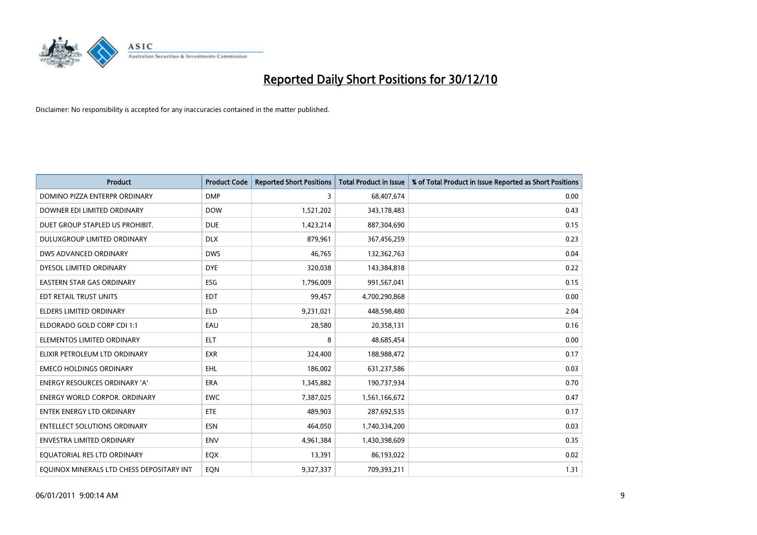

| Product                                   | <b>Product Code</b> | <b>Reported Short Positions</b> | <b>Total Product in Issue</b> | % of Total Product in Issue Reported as Short Positions |
|-------------------------------------------|---------------------|---------------------------------|-------------------------------|---------------------------------------------------------|
| DOMINO PIZZA ENTERPR ORDINARY             | <b>DMP</b>          | 3                               | 68,407,674                    | 0.00                                                    |
| DOWNER EDI LIMITED ORDINARY               | <b>DOW</b>          | 1,521,202                       | 343,178,483                   | 0.43                                                    |
| DUET GROUP STAPLED US PROHIBIT.           | <b>DUE</b>          | 1,423,214                       | 887,304,690                   | 0.15                                                    |
| DULUXGROUP LIMITED ORDINARY               | <b>DLX</b>          | 879,961                         | 367,456,259                   | 0.23                                                    |
| DWS ADVANCED ORDINARY                     | <b>DWS</b>          | 46,765                          | 132,362,763                   | 0.04                                                    |
| DYESOL LIMITED ORDINARY                   | <b>DYE</b>          | 320,038                         | 143,384,818                   | 0.22                                                    |
| <b>EASTERN STAR GAS ORDINARY</b>          | ESG                 | 1,796,009                       | 991,567,041                   | 0.15                                                    |
| EDT RETAIL TRUST UNITS                    | <b>EDT</b>          | 99,457                          | 4,700,290,868                 | 0.00                                                    |
| <b>ELDERS LIMITED ORDINARY</b>            | <b>ELD</b>          | 9,231,021                       | 448,598,480                   | 2.04                                                    |
| ELDORADO GOLD CORP CDI 1:1                | EAU                 | 28,580                          | 20,358,131                    | 0.16                                                    |
| ELEMENTOS LIMITED ORDINARY                | <b>ELT</b>          | 8                               | 48,685,454                    | 0.00                                                    |
| ELIXIR PETROLEUM LTD ORDINARY             | <b>EXR</b>          | 324,400                         | 188,988,472                   | 0.17                                                    |
| <b>EMECO HOLDINGS ORDINARY</b>            | <b>EHL</b>          | 186,002                         | 631,237,586                   | 0.03                                                    |
| <b>ENERGY RESOURCES ORDINARY 'A'</b>      | ERA                 | 1,345,882                       | 190,737,934                   | 0.70                                                    |
| <b>ENERGY WORLD CORPOR, ORDINARY</b>      | <b>EWC</b>          | 7,387,025                       | 1,561,166,672                 | 0.47                                                    |
| <b>ENTEK ENERGY LTD ORDINARY</b>          | ETE                 | 489,903                         | 287,692,535                   | 0.17                                                    |
| <b>ENTELLECT SOLUTIONS ORDINARY</b>       | ESN                 | 464,050                         | 1,740,334,200                 | 0.03                                                    |
| ENVESTRA LIMITED ORDINARY                 | <b>ENV</b>          | 4,961,384                       | 1,430,398,609                 | 0.35                                                    |
| EQUATORIAL RES LTD ORDINARY               | EQX                 | 13,391                          | 86,193,022                    | 0.02                                                    |
| EQUINOX MINERALS LTD CHESS DEPOSITARY INT | EON                 | 9,327,337                       | 709,393,211                   | 1.31                                                    |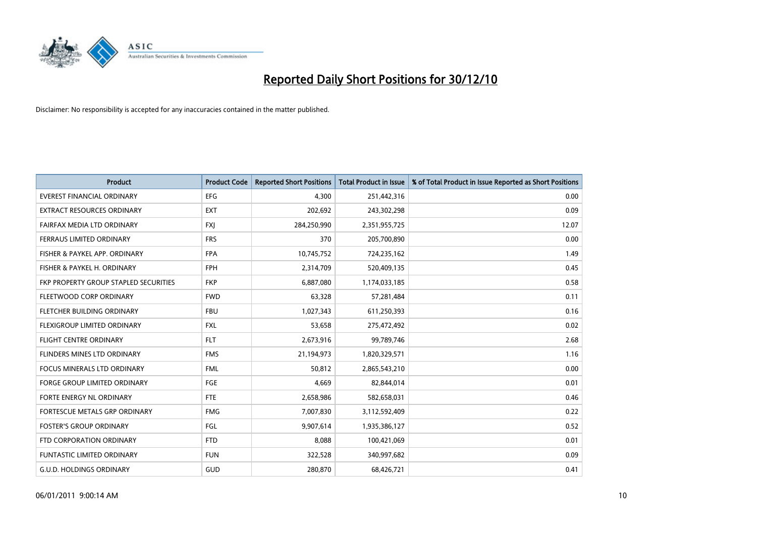

| Product                               | <b>Product Code</b> | <b>Reported Short Positions</b> | <b>Total Product in Issue</b> | % of Total Product in Issue Reported as Short Positions |
|---------------------------------------|---------------------|---------------------------------|-------------------------------|---------------------------------------------------------|
| <b>EVEREST FINANCIAL ORDINARY</b>     | <b>EFG</b>          | 4,300                           | 251,442,316                   | 0.00                                                    |
| EXTRACT RESOURCES ORDINARY            | <b>EXT</b>          | 202,692                         | 243,302,298                   | 0.09                                                    |
| FAIRFAX MEDIA LTD ORDINARY            | <b>FXJ</b>          | 284,250,990                     | 2,351,955,725                 | 12.07                                                   |
| FERRAUS LIMITED ORDINARY              | <b>FRS</b>          | 370                             | 205,700,890                   | 0.00                                                    |
| FISHER & PAYKEL APP. ORDINARY         | <b>FPA</b>          | 10,745,752                      | 724,235,162                   | 1.49                                                    |
| FISHER & PAYKEL H. ORDINARY           | <b>FPH</b>          | 2,314,709                       | 520,409,135                   | 0.45                                                    |
| FKP PROPERTY GROUP STAPLED SECURITIES | <b>FKP</b>          | 6,887,080                       | 1,174,033,185                 | 0.58                                                    |
| FLEETWOOD CORP ORDINARY               | <b>FWD</b>          | 63,328                          | 57,281,484                    | 0.11                                                    |
| FLETCHER BUILDING ORDINARY            | <b>FBU</b>          | 1,027,343                       | 611,250,393                   | 0.16                                                    |
| FLEXIGROUP LIMITED ORDINARY           | <b>FXL</b>          | 53,658                          | 275,472,492                   | 0.02                                                    |
| <b>FLIGHT CENTRE ORDINARY</b>         | <b>FLT</b>          | 2,673,916                       | 99,789,746                    | 2.68                                                    |
| FLINDERS MINES LTD ORDINARY           | <b>FMS</b>          | 21,194,973                      | 1,820,329,571                 | 1.16                                                    |
| FOCUS MINERALS LTD ORDINARY           | <b>FML</b>          | 50,812                          | 2,865,543,210                 | 0.00                                                    |
| <b>FORGE GROUP LIMITED ORDINARY</b>   | <b>FGE</b>          | 4,669                           | 82,844,014                    | 0.01                                                    |
| FORTE ENERGY NL ORDINARY              | FTE                 | 2,658,986                       | 582,658,031                   | 0.46                                                    |
| <b>FORTESCUE METALS GRP ORDINARY</b>  | <b>FMG</b>          | 7,007,830                       | 3,112,592,409                 | 0.22                                                    |
| <b>FOSTER'S GROUP ORDINARY</b>        | FGL                 | 9,907,614                       | 1,935,386,127                 | 0.52                                                    |
| FTD CORPORATION ORDINARY              | <b>FTD</b>          | 8,088                           | 100,421,069                   | 0.01                                                    |
| <b>FUNTASTIC LIMITED ORDINARY</b>     | <b>FUN</b>          | 322,528                         | 340,997,682                   | 0.09                                                    |
| <b>G.U.D. HOLDINGS ORDINARY</b>       | GUD                 | 280,870                         | 68,426,721                    | 0.41                                                    |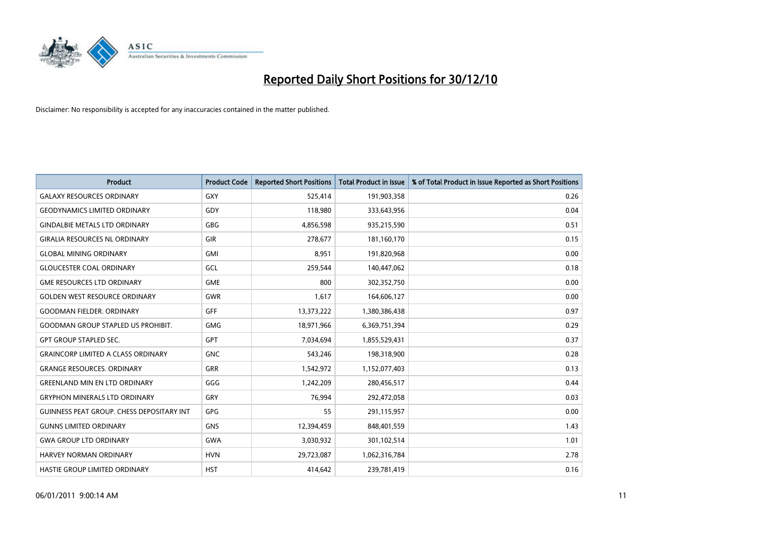

| <b>Product</b>                                   | <b>Product Code</b> | <b>Reported Short Positions</b> | <b>Total Product in Issue</b> | % of Total Product in Issue Reported as Short Positions |
|--------------------------------------------------|---------------------|---------------------------------|-------------------------------|---------------------------------------------------------|
| <b>GALAXY RESOURCES ORDINARY</b>                 | <b>GXY</b>          | 525,414                         | 191,903,358                   | 0.26                                                    |
| <b>GEODYNAMICS LIMITED ORDINARY</b>              | GDY                 | 118,980                         | 333,643,956                   | 0.04                                                    |
| <b>GINDALBIE METALS LTD ORDINARY</b>             | <b>GBG</b>          | 4,856,598                       | 935,215,590                   | 0.51                                                    |
| <b>GIRALIA RESOURCES NL ORDINARY</b>             | <b>GIR</b>          | 278,677                         | 181,160,170                   | 0.15                                                    |
| <b>GLOBAL MINING ORDINARY</b>                    | <b>GMI</b>          | 8,951                           | 191,820,968                   | 0.00                                                    |
| <b>GLOUCESTER COAL ORDINARY</b>                  | GCL                 | 259,544                         | 140,447,062                   | 0.18                                                    |
| <b>GME RESOURCES LTD ORDINARY</b>                | <b>GME</b>          | 800                             | 302,352,750                   | 0.00                                                    |
| <b>GOLDEN WEST RESOURCE ORDINARY</b>             | GWR                 | 1,617                           | 164,606,127                   | 0.00                                                    |
| <b>GOODMAN FIELDER. ORDINARY</b>                 | GFF                 | 13,373,222                      | 1,380,386,438                 | 0.97                                                    |
| <b>GOODMAN GROUP STAPLED US PROHIBIT.</b>        | <b>GMG</b>          | 18,971,966                      | 6,369,751,394                 | 0.29                                                    |
| <b>GPT GROUP STAPLED SEC.</b>                    | <b>GPT</b>          | 7,034,694                       | 1,855,529,431                 | 0.37                                                    |
| <b>GRAINCORP LIMITED A CLASS ORDINARY</b>        | <b>GNC</b>          | 543,246                         | 198,318,900                   | 0.28                                                    |
| <b>GRANGE RESOURCES, ORDINARY</b>                | <b>GRR</b>          | 1,542,972                       | 1,152,077,403                 | 0.13                                                    |
| <b>GREENLAND MIN EN LTD ORDINARY</b>             | GGG                 | 1,242,209                       | 280,456,517                   | 0.44                                                    |
| <b>GRYPHON MINERALS LTD ORDINARY</b>             | <b>GRY</b>          | 76,994                          | 292,472,058                   | 0.03                                                    |
| <b>GUINNESS PEAT GROUP. CHESS DEPOSITARY INT</b> | <b>GPG</b>          | 55                              | 291,115,957                   | 0.00                                                    |
| <b>GUNNS LIMITED ORDINARY</b>                    | <b>GNS</b>          | 12,394,459                      | 848,401,559                   | 1.43                                                    |
| <b>GWA GROUP LTD ORDINARY</b>                    | <b>GWA</b>          | 3,030,932                       | 301,102,514                   | 1.01                                                    |
| <b>HARVEY NORMAN ORDINARY</b>                    | <b>HVN</b>          | 29,723,087                      | 1,062,316,784                 | 2.78                                                    |
| HASTIE GROUP LIMITED ORDINARY                    | <b>HST</b>          | 414,642                         | 239,781,419                   | 0.16                                                    |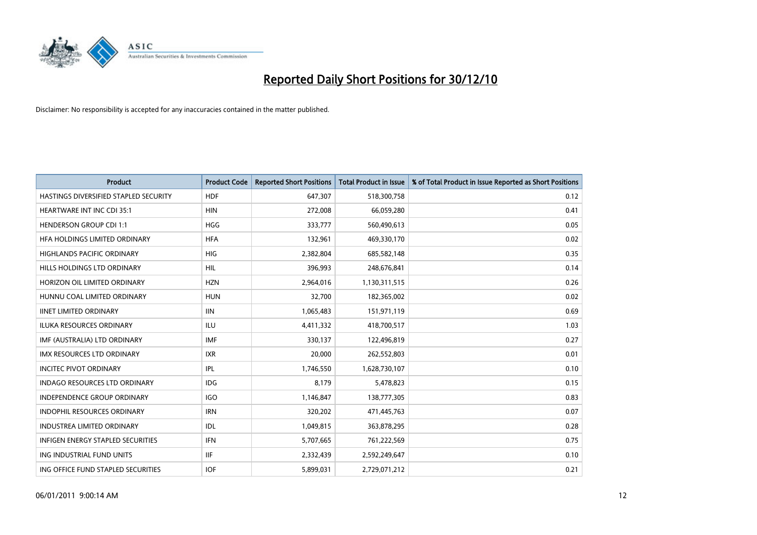

| <b>Product</b>                           | <b>Product Code</b> | <b>Reported Short Positions</b> | <b>Total Product in Issue</b> | % of Total Product in Issue Reported as Short Positions |
|------------------------------------------|---------------------|---------------------------------|-------------------------------|---------------------------------------------------------|
| HASTINGS DIVERSIFIED STAPLED SECURITY    | <b>HDF</b>          | 647,307                         | 518,300,758                   | 0.12                                                    |
| <b>HEARTWARE INT INC CDI 35:1</b>        | <b>HIN</b>          | 272,008                         | 66,059,280                    | 0.41                                                    |
| <b>HENDERSON GROUP CDI 1:1</b>           | <b>HGG</b>          | 333,777                         | 560,490,613                   | 0.05                                                    |
| HFA HOLDINGS LIMITED ORDINARY            | <b>HFA</b>          | 132,961                         | 469,330,170                   | 0.02                                                    |
| <b>HIGHLANDS PACIFIC ORDINARY</b>        | <b>HIG</b>          | 2,382,804                       | 685,582,148                   | 0.35                                                    |
| HILLS HOLDINGS LTD ORDINARY              | <b>HIL</b>          | 396,993                         | 248,676,841                   | 0.14                                                    |
| HORIZON OIL LIMITED ORDINARY             | <b>HZN</b>          | 2,964,016                       | 1,130,311,515                 | 0.26                                                    |
| HUNNU COAL LIMITED ORDINARY              | <b>HUN</b>          | 32,700                          | 182,365,002                   | 0.02                                                    |
| <b>IINET LIMITED ORDINARY</b>            | <b>IIN</b>          | 1,065,483                       | 151,971,119                   | 0.69                                                    |
| <b>ILUKA RESOURCES ORDINARY</b>          | ILU                 | 4,411,332                       | 418,700,517                   | 1.03                                                    |
| IMF (AUSTRALIA) LTD ORDINARY             | <b>IMF</b>          | 330,137                         | 122,496,819                   | 0.27                                                    |
| <b>IMX RESOURCES LTD ORDINARY</b>        | <b>IXR</b>          | 20,000                          | 262,552,803                   | 0.01                                                    |
| <b>INCITEC PIVOT ORDINARY</b>            | IPL                 | 1,746,550                       | 1,628,730,107                 | 0.10                                                    |
| <b>INDAGO RESOURCES LTD ORDINARY</b>     | <b>IDG</b>          | 8.179                           | 5,478,823                     | 0.15                                                    |
| <b>INDEPENDENCE GROUP ORDINARY</b>       | <b>IGO</b>          | 1,146,847                       | 138,777,305                   | 0.83                                                    |
| <b>INDOPHIL RESOURCES ORDINARY</b>       | <b>IRN</b>          | 320,202                         | 471,445,763                   | 0.07                                                    |
| <b>INDUSTREA LIMITED ORDINARY</b>        | IDL                 | 1,049,815                       | 363,878,295                   | 0.28                                                    |
| <b>INFIGEN ENERGY STAPLED SECURITIES</b> | <b>IFN</b>          | 5,707,665                       | 761,222,569                   | 0.75                                                    |
| ING INDUSTRIAL FUND UNITS                | <b>IIF</b>          | 2,332,439                       | 2,592,249,647                 | 0.10                                                    |
| ING OFFICE FUND STAPLED SECURITIES       | <b>IOF</b>          | 5,899,031                       | 2,729,071,212                 | 0.21                                                    |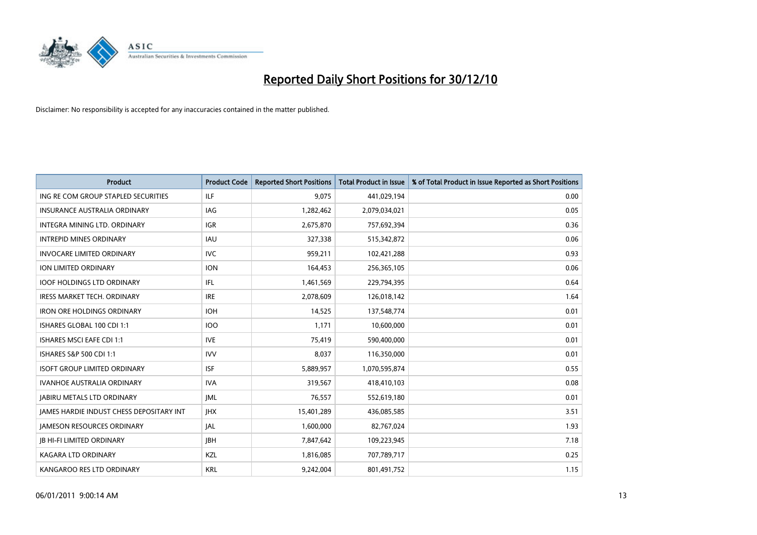

| Product                                  | <b>Product Code</b> | <b>Reported Short Positions</b> | <b>Total Product in Issue</b> | % of Total Product in Issue Reported as Short Positions |
|------------------------------------------|---------------------|---------------------------------|-------------------------------|---------------------------------------------------------|
| ING RE COM GROUP STAPLED SECURITIES      | ILF                 | 9,075                           | 441,029,194                   | 0.00                                                    |
| INSURANCE AUSTRALIA ORDINARY             | <b>IAG</b>          | 1,282,462                       | 2,079,034,021                 | 0.05                                                    |
| <b>INTEGRA MINING LTD, ORDINARY</b>      | <b>IGR</b>          | 2,675,870                       | 757,692,394                   | 0.36                                                    |
| <b>INTREPID MINES ORDINARY</b>           | IAU                 | 327,338                         | 515,342,872                   | 0.06                                                    |
| <b>INVOCARE LIMITED ORDINARY</b>         | <b>IVC</b>          | 959,211                         | 102,421,288                   | 0.93                                                    |
| <b>ION LIMITED ORDINARY</b>              | <b>ION</b>          | 164,453                         | 256,365,105                   | 0.06                                                    |
| <b>IOOF HOLDINGS LTD ORDINARY</b>        | IFL                 | 1,461,569                       | 229,794,395                   | 0.64                                                    |
| IRESS MARKET TECH. ORDINARY              | <b>IRE</b>          | 2,078,609                       | 126,018,142                   | 1.64                                                    |
| <b>IRON ORE HOLDINGS ORDINARY</b>        | <b>IOH</b>          | 14,525                          | 137,548,774                   | 0.01                                                    |
| ISHARES GLOBAL 100 CDI 1:1               | 100                 | 1.171                           | 10,600,000                    | 0.01                                                    |
| <b>ISHARES MSCI EAFE CDI 1:1</b>         | <b>IVE</b>          | 75,419                          | 590,400,000                   | 0.01                                                    |
| ISHARES S&P 500 CDI 1:1                  | <b>IVV</b>          | 8,037                           | 116,350,000                   | 0.01                                                    |
| <b>ISOFT GROUP LIMITED ORDINARY</b>      | <b>ISF</b>          | 5,889,957                       | 1,070,595,874                 | 0.55                                                    |
| <b>IVANHOE AUSTRALIA ORDINARY</b>        | <b>IVA</b>          | 319,567                         | 418,410,103                   | 0.08                                                    |
| <b>JABIRU METALS LTD ORDINARY</b>        | <b>JML</b>          | 76,557                          | 552,619,180                   | 0.01                                                    |
| JAMES HARDIE INDUST CHESS DEPOSITARY INT | <b>IHX</b>          | 15,401,289                      | 436,085,585                   | 3.51                                                    |
| <b>JAMESON RESOURCES ORDINARY</b>        | JAL                 | 1,600,000                       | 82,767,024                    | 1.93                                                    |
| <b>JB HI-FI LIMITED ORDINARY</b>         | <b>IBH</b>          | 7,847,642                       | 109,223,945                   | 7.18                                                    |
| KAGARA LTD ORDINARY                      | KZL                 | 1,816,085                       | 707,789,717                   | 0.25                                                    |
| KANGAROO RES LTD ORDINARY                | <b>KRL</b>          | 9,242,004                       | 801,491,752                   | 1.15                                                    |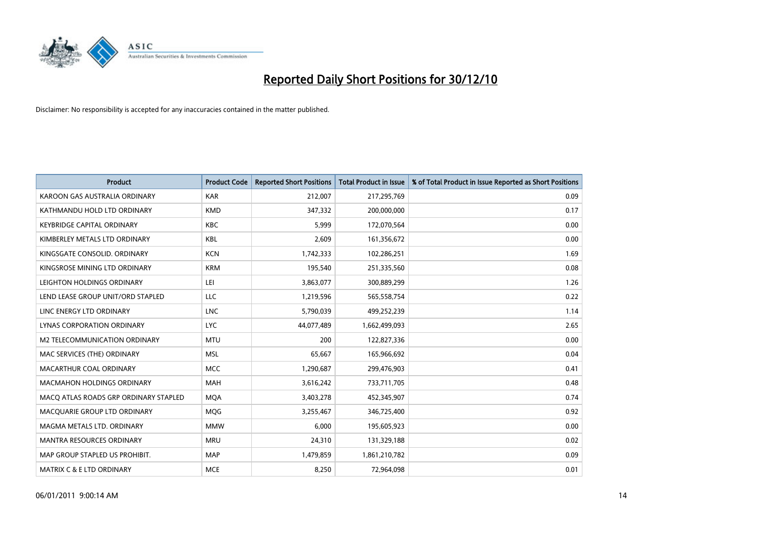

| Product                               | <b>Product Code</b> | <b>Reported Short Positions</b> | <b>Total Product in Issue</b> | % of Total Product in Issue Reported as Short Positions |
|---------------------------------------|---------------------|---------------------------------|-------------------------------|---------------------------------------------------------|
| KAROON GAS AUSTRALIA ORDINARY         | <b>KAR</b>          | 212,007                         | 217,295,769                   | 0.09                                                    |
| KATHMANDU HOLD LTD ORDINARY           | <b>KMD</b>          | 347,332                         | 200,000,000                   | 0.17                                                    |
| <b>KEYBRIDGE CAPITAL ORDINARY</b>     | <b>KBC</b>          | 5,999                           | 172,070,564                   | 0.00                                                    |
| KIMBERLEY METALS LTD ORDINARY         | <b>KBL</b>          | 2.609                           | 161,356,672                   | 0.00                                                    |
| KINGSGATE CONSOLID, ORDINARY          | <b>KCN</b>          | 1,742,333                       | 102,286,251                   | 1.69                                                    |
| KINGSROSE MINING LTD ORDINARY         | <b>KRM</b>          | 195,540                         | 251,335,560                   | 0.08                                                    |
| LEIGHTON HOLDINGS ORDINARY            | LEI                 | 3,863,077                       | 300,889,299                   | 1.26                                                    |
| LEND LEASE GROUP UNIT/ORD STAPLED     | <b>LLC</b>          | 1,219,596                       | 565,558,754                   | 0.22                                                    |
| LINC ENERGY LTD ORDINARY              | <b>LNC</b>          | 5,790,039                       | 499,252,239                   | 1.14                                                    |
| LYNAS CORPORATION ORDINARY            | <b>LYC</b>          | 44,077,489                      | 1,662,499,093                 | 2.65                                                    |
| M2 TELECOMMUNICATION ORDINARY         | <b>MTU</b>          | 200                             | 122,827,336                   | 0.00                                                    |
| MAC SERVICES (THE) ORDINARY           | <b>MSL</b>          | 65,667                          | 165,966,692                   | 0.04                                                    |
| MACARTHUR COAL ORDINARY               | <b>MCC</b>          | 1,290,687                       | 299,476,903                   | 0.41                                                    |
| <b>MACMAHON HOLDINGS ORDINARY</b>     | <b>MAH</b>          | 3,616,242                       | 733,711,705                   | 0.48                                                    |
| MACO ATLAS ROADS GRP ORDINARY STAPLED | <b>MQA</b>          | 3,403,278                       | 452,345,907                   | 0.74                                                    |
| MACQUARIE GROUP LTD ORDINARY          | <b>MOG</b>          | 3,255,467                       | 346,725,400                   | 0.92                                                    |
| MAGMA METALS LTD. ORDINARY            | <b>MMW</b>          | 6,000                           | 195,605,923                   | 0.00                                                    |
| <b>MANTRA RESOURCES ORDINARY</b>      | <b>MRU</b>          | 24,310                          | 131,329,188                   | 0.02                                                    |
| MAP GROUP STAPLED US PROHIBIT.        | <b>MAP</b>          | 1,479,859                       | 1,861,210,782                 | 0.09                                                    |
| MATRIX C & E LTD ORDINARY             | <b>MCE</b>          | 8,250                           | 72,964,098                    | 0.01                                                    |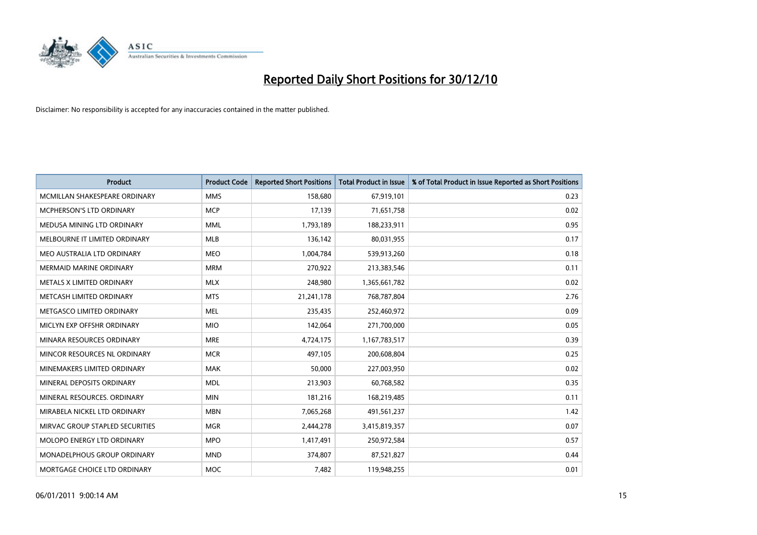

| Product                          | <b>Product Code</b> | <b>Reported Short Positions</b> | <b>Total Product in Issue</b> | % of Total Product in Issue Reported as Short Positions |
|----------------------------------|---------------------|---------------------------------|-------------------------------|---------------------------------------------------------|
| MCMILLAN SHAKESPEARE ORDINARY    | <b>MMS</b>          | 158,680                         | 67,919,101                    | 0.23                                                    |
| MCPHERSON'S LTD ORDINARY         | <b>MCP</b>          | 17,139                          | 71,651,758                    | 0.02                                                    |
| MEDUSA MINING LTD ORDINARY       | <b>MML</b>          | 1,793,189                       | 188,233,911                   | 0.95                                                    |
| MELBOURNE IT LIMITED ORDINARY    | MLB                 | 136,142                         | 80,031,955                    | 0.17                                                    |
| MEO AUSTRALIA LTD ORDINARY       | <b>MEO</b>          | 1,004,784                       | 539,913,260                   | 0.18                                                    |
| <b>MERMAID MARINE ORDINARY</b>   | <b>MRM</b>          | 270,922                         | 213,383,546                   | 0.11                                                    |
| <b>METALS X LIMITED ORDINARY</b> | <b>MLX</b>          | 248,980                         | 1,365,661,782                 | 0.02                                                    |
| METCASH LIMITED ORDINARY         | <b>MTS</b>          | 21,241,178                      | 768,787,804                   | 2.76                                                    |
| METGASCO LIMITED ORDINARY        | <b>MEL</b>          | 235,435                         | 252,460,972                   | 0.09                                                    |
| MICLYN EXP OFFSHR ORDINARY       | <b>MIO</b>          | 142,064                         | 271,700,000                   | 0.05                                                    |
| MINARA RESOURCES ORDINARY        | <b>MRE</b>          | 4,724,175                       | 1,167,783,517                 | 0.39                                                    |
| MINCOR RESOURCES NL ORDINARY     | <b>MCR</b>          | 497,105                         | 200,608,804                   | 0.25                                                    |
| MINEMAKERS LIMITED ORDINARY      | <b>MAK</b>          | 50,000                          | 227,003,950                   | 0.02                                                    |
| MINERAL DEPOSITS ORDINARY        | <b>MDL</b>          | 213,903                         | 60,768,582                    | 0.35                                                    |
| MINERAL RESOURCES, ORDINARY      | <b>MIN</b>          | 181,216                         | 168,219,485                   | 0.11                                                    |
| MIRABELA NICKEL LTD ORDINARY     | <b>MBN</b>          | 7,065,268                       | 491,561,237                   | 1.42                                                    |
| MIRVAC GROUP STAPLED SECURITIES  | <b>MGR</b>          | 2,444,278                       | 3,415,819,357                 | 0.07                                                    |
| MOLOPO ENERGY LTD ORDINARY       | <b>MPO</b>          | 1,417,491                       | 250,972,584                   | 0.57                                                    |
| MONADELPHOUS GROUP ORDINARY      | <b>MND</b>          | 374,807                         | 87,521,827                    | 0.44                                                    |
| MORTGAGE CHOICE LTD ORDINARY     | MOC                 | 7,482                           | 119,948,255                   | 0.01                                                    |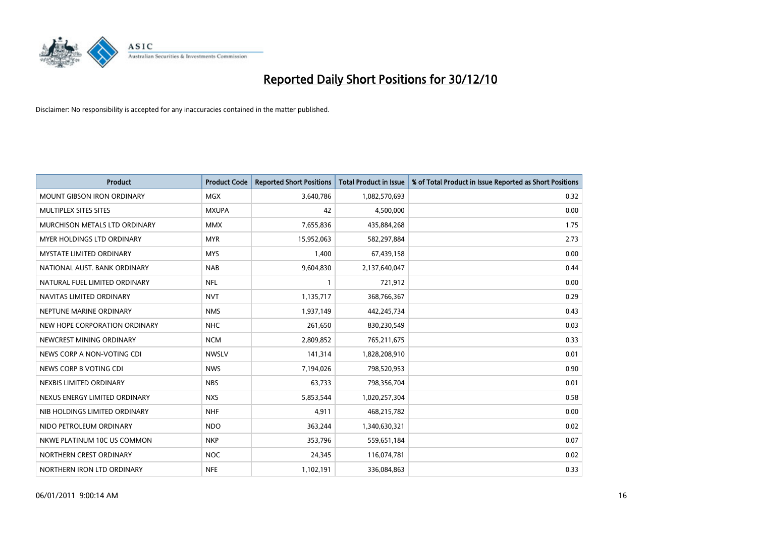

| Product                           | <b>Product Code</b> | <b>Reported Short Positions</b> | <b>Total Product in Issue</b> | % of Total Product in Issue Reported as Short Positions |
|-----------------------------------|---------------------|---------------------------------|-------------------------------|---------------------------------------------------------|
| <b>MOUNT GIBSON IRON ORDINARY</b> | MGX                 | 3,640,786                       | 1,082,570,693                 | 0.32                                                    |
| MULTIPLEX SITES SITES             | <b>MXUPA</b>        | 42                              | 4,500,000                     | 0.00                                                    |
| MURCHISON METALS LTD ORDINARY     | <b>MMX</b>          | 7,655,836                       | 435,884,268                   | 1.75                                                    |
| MYER HOLDINGS LTD ORDINARY        | <b>MYR</b>          | 15,952,063                      | 582,297,884                   | 2.73                                                    |
| <b>MYSTATE LIMITED ORDINARY</b>   | <b>MYS</b>          | 1,400                           | 67,439,158                    | 0.00                                                    |
| NATIONAL AUST. BANK ORDINARY      | <b>NAB</b>          | 9,604,830                       | 2,137,640,047                 | 0.44                                                    |
| NATURAL FUEL LIMITED ORDINARY     | <b>NFL</b>          | 1                               | 721,912                       | 0.00                                                    |
| NAVITAS LIMITED ORDINARY          | <b>NVT</b>          | 1,135,717                       | 368,766,367                   | 0.29                                                    |
| NEPTUNE MARINE ORDINARY           | <b>NMS</b>          | 1,937,149                       | 442,245,734                   | 0.43                                                    |
| NEW HOPE CORPORATION ORDINARY     | <b>NHC</b>          | 261,650                         | 830,230,549                   | 0.03                                                    |
| NEWCREST MINING ORDINARY          | <b>NCM</b>          | 2,809,852                       | 765,211,675                   | 0.33                                                    |
| NEWS CORP A NON-VOTING CDI        | <b>NWSLV</b>        | 141,314                         | 1,828,208,910                 | 0.01                                                    |
| NEWS CORP B VOTING CDI            | <b>NWS</b>          | 7,194,026                       | 798,520,953                   | 0.90                                                    |
| NEXBIS LIMITED ORDINARY           | <b>NBS</b>          | 63,733                          | 798,356,704                   | 0.01                                                    |
| NEXUS ENERGY LIMITED ORDINARY     | <b>NXS</b>          | 5,853,544                       | 1,020,257,304                 | 0.58                                                    |
| NIB HOLDINGS LIMITED ORDINARY     | <b>NHF</b>          | 4,911                           | 468,215,782                   | 0.00                                                    |
| NIDO PETROLEUM ORDINARY           | <b>NDO</b>          | 363,244                         | 1,340,630,321                 | 0.02                                                    |
| NKWE PLATINUM 10C US COMMON       | <b>NKP</b>          | 353,796                         | 559,651,184                   | 0.07                                                    |
| NORTHERN CREST ORDINARY           | <b>NOC</b>          | 24,345                          | 116,074,781                   | 0.02                                                    |
| NORTHERN IRON LTD ORDINARY        | <b>NFE</b>          | 1,102,191                       | 336,084,863                   | 0.33                                                    |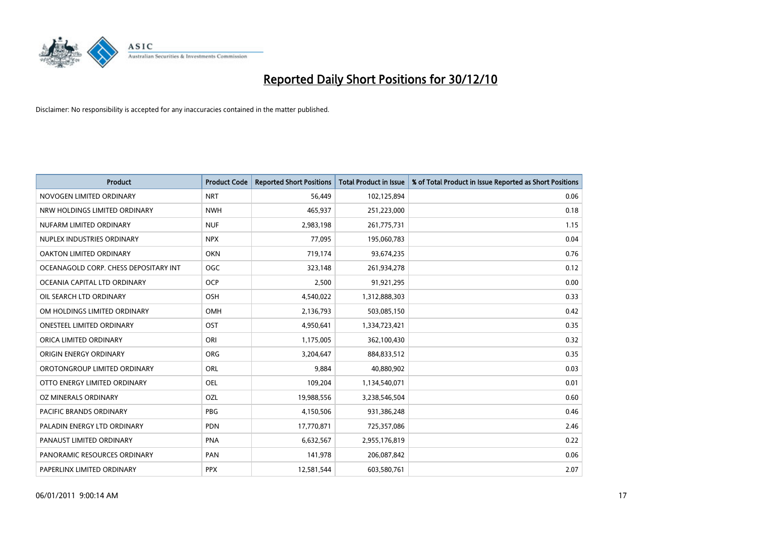

| <b>Product</b>                        | <b>Product Code</b> | <b>Reported Short Positions</b> | <b>Total Product in Issue</b> | % of Total Product in Issue Reported as Short Positions |
|---------------------------------------|---------------------|---------------------------------|-------------------------------|---------------------------------------------------------|
| NOVOGEN LIMITED ORDINARY              | <b>NRT</b>          | 56,449                          | 102,125,894                   | 0.06                                                    |
| NRW HOLDINGS LIMITED ORDINARY         | <b>NWH</b>          | 465,937                         | 251,223,000                   | 0.18                                                    |
| NUFARM LIMITED ORDINARY               | <b>NUF</b>          | 2,983,198                       | 261,775,731                   | 1.15                                                    |
| NUPLEX INDUSTRIES ORDINARY            | <b>NPX</b>          | 77,095                          | 195,060,783                   | 0.04                                                    |
| <b>OAKTON LIMITED ORDINARY</b>        | <b>OKN</b>          | 719,174                         | 93,674,235                    | 0.76                                                    |
| OCEANAGOLD CORP. CHESS DEPOSITARY INT | OGC                 | 323,148                         | 261,934,278                   | 0.12                                                    |
| OCEANIA CAPITAL LTD ORDINARY          | <b>OCP</b>          | 2,500                           | 91,921,295                    | 0.00                                                    |
| OIL SEARCH LTD ORDINARY               | <b>OSH</b>          | 4,540,022                       | 1,312,888,303                 | 0.33                                                    |
| OM HOLDINGS LIMITED ORDINARY          | OMH                 | 2,136,793                       | 503,085,150                   | 0.42                                                    |
| <b>ONESTEEL LIMITED ORDINARY</b>      | OST                 | 4,950,641                       | 1,334,723,421                 | 0.35                                                    |
| ORICA LIMITED ORDINARY                | ORI                 | 1,175,005                       | 362,100,430                   | 0.32                                                    |
| ORIGIN ENERGY ORDINARY                | <b>ORG</b>          | 3,204,647                       | 884,833,512                   | 0.35                                                    |
| OROTONGROUP LIMITED ORDINARY          | <b>ORL</b>          | 9,884                           | 40,880,902                    | 0.03                                                    |
| OTTO ENERGY LIMITED ORDINARY          | <b>OEL</b>          | 109,204                         | 1,134,540,071                 | 0.01                                                    |
| OZ MINERALS ORDINARY                  | OZL                 | 19,988,556                      | 3,238,546,504                 | 0.60                                                    |
| PACIFIC BRANDS ORDINARY               | PBG                 | 4,150,506                       | 931,386,248                   | 0.46                                                    |
| PALADIN ENERGY LTD ORDINARY           | PDN                 | 17,770,871                      | 725,357,086                   | 2.46                                                    |
| PANAUST LIMITED ORDINARY              | <b>PNA</b>          | 6,632,567                       | 2,955,176,819                 | 0.22                                                    |
| PANORAMIC RESOURCES ORDINARY          | PAN                 | 141,978                         | 206,087,842                   | 0.06                                                    |
| PAPERLINX LIMITED ORDINARY            | <b>PPX</b>          | 12,581,544                      | 603,580,761                   | 2.07                                                    |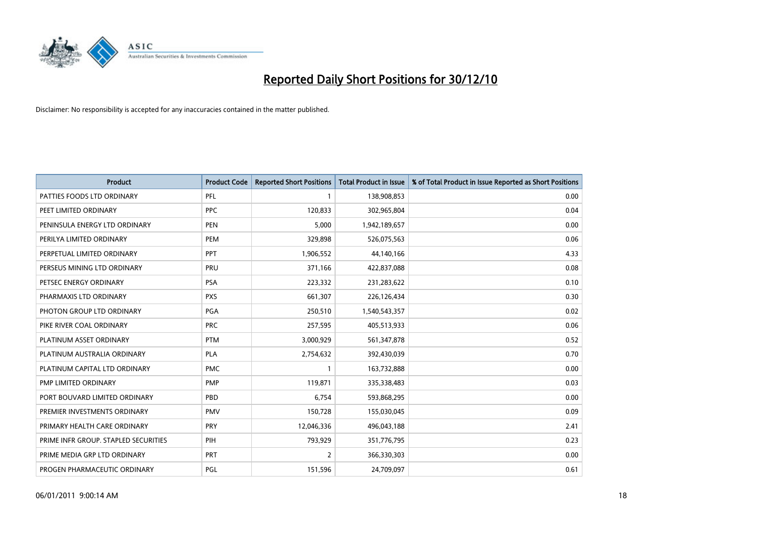

| Product                              | <b>Product Code</b> | <b>Reported Short Positions</b> | <b>Total Product in Issue</b> | % of Total Product in Issue Reported as Short Positions |
|--------------------------------------|---------------------|---------------------------------|-------------------------------|---------------------------------------------------------|
| PATTIES FOODS LTD ORDINARY           | PFL                 | 1                               | 138,908,853                   | 0.00                                                    |
| PEET LIMITED ORDINARY                | <b>PPC</b>          | 120,833                         | 302,965,804                   | 0.04                                                    |
| PENINSULA ENERGY LTD ORDINARY        | <b>PEN</b>          | 5,000                           | 1,942,189,657                 | 0.00                                                    |
| PERILYA LIMITED ORDINARY             | PEM                 | 329,898                         | 526,075,563                   | 0.06                                                    |
| PERPETUAL LIMITED ORDINARY           | PPT                 | 1,906,552                       | 44,140,166                    | 4.33                                                    |
| PERSEUS MINING LTD ORDINARY          | PRU                 | 371,166                         | 422,837,088                   | 0.08                                                    |
| PETSEC ENERGY ORDINARY               | <b>PSA</b>          | 223,332                         | 231,283,622                   | 0.10                                                    |
| PHARMAXIS LTD ORDINARY               | <b>PXS</b>          | 661,307                         | 226,126,434                   | 0.30                                                    |
| PHOTON GROUP LTD ORDINARY            | PGA                 | 250,510                         | 1,540,543,357                 | 0.02                                                    |
| PIKE RIVER COAL ORDINARY             | <b>PRC</b>          | 257,595                         | 405,513,933                   | 0.06                                                    |
| PLATINUM ASSET ORDINARY              | <b>PTM</b>          | 3,000,929                       | 561,347,878                   | 0.52                                                    |
| PLATINUM AUSTRALIA ORDINARY          | <b>PLA</b>          | 2,754,632                       | 392,430,039                   | 0.70                                                    |
| PLATINUM CAPITAL LTD ORDINARY        | <b>PMC</b>          | 1                               | 163,732,888                   | 0.00                                                    |
| <b>PMP LIMITED ORDINARY</b>          | <b>PMP</b>          | 119,871                         | 335,338,483                   | 0.03                                                    |
| PORT BOUVARD LIMITED ORDINARY        | PBD                 | 6,754                           | 593,868,295                   | 0.00                                                    |
| PREMIER INVESTMENTS ORDINARY         | <b>PMV</b>          | 150,728                         | 155,030,045                   | 0.09                                                    |
| PRIMARY HEALTH CARE ORDINARY         | <b>PRY</b>          | 12,046,336                      | 496,043,188                   | 2.41                                                    |
| PRIME INFR GROUP. STAPLED SECURITIES | PIH                 | 793,929                         | 351,776,795                   | 0.23                                                    |
| PRIME MEDIA GRP LTD ORDINARY         | <b>PRT</b>          | $\overline{2}$                  | 366,330,303                   | 0.00                                                    |
| PROGEN PHARMACEUTIC ORDINARY         | PGL                 | 151,596                         | 24,709,097                    | 0.61                                                    |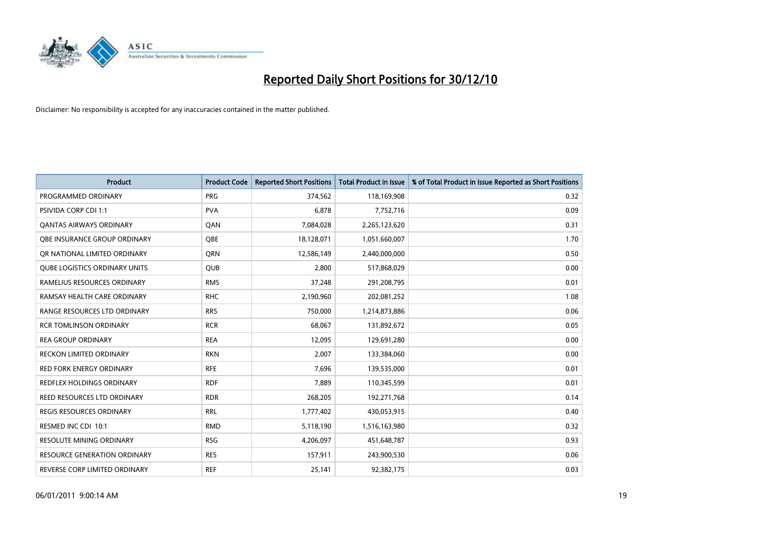

| Product                              | <b>Product Code</b> | <b>Reported Short Positions</b> | <b>Total Product in Issue</b> | % of Total Product in Issue Reported as Short Positions |
|--------------------------------------|---------------------|---------------------------------|-------------------------------|---------------------------------------------------------|
| PROGRAMMED ORDINARY                  | <b>PRG</b>          | 374,562                         | 118,169,908                   | 0.32                                                    |
| <b>PSIVIDA CORP CDI 1:1</b>          | <b>PVA</b>          | 6,878                           | 7,752,716                     | 0.09                                                    |
| OANTAS AIRWAYS ORDINARY              | QAN                 | 7,084,028                       | 2,265,123,620                 | 0.31                                                    |
| OBE INSURANCE GROUP ORDINARY         | <b>OBE</b>          | 18,128,071                      | 1,051,660,007                 | 1.70                                                    |
| OR NATIONAL LIMITED ORDINARY         | <b>ORN</b>          | 12,586,149                      | 2,440,000,000                 | 0.50                                                    |
| <b>QUBE LOGISTICS ORDINARY UNITS</b> | <b>QUB</b>          | 2,800                           | 517,868,029                   | 0.00                                                    |
| RAMELIUS RESOURCES ORDINARY          | <b>RMS</b>          | 37,248                          | 291,208,795                   | 0.01                                                    |
| RAMSAY HEALTH CARE ORDINARY          | <b>RHC</b>          | 2,190,960                       | 202,081,252                   | 1.08                                                    |
| RANGE RESOURCES LTD ORDINARY         | <b>RRS</b>          | 750,000                         | 1,214,873,886                 | 0.06                                                    |
| <b>RCR TOMLINSON ORDINARY</b>        | <b>RCR</b>          | 68,067                          | 131,892,672                   | 0.05                                                    |
| <b>REA GROUP ORDINARY</b>            | <b>REA</b>          | 12,095                          | 129,691,280                   | 0.00                                                    |
| <b>RECKON LIMITED ORDINARY</b>       | <b>RKN</b>          | 2,007                           | 133,384,060                   | 0.00                                                    |
| RED FORK ENERGY ORDINARY             | <b>RFE</b>          | 7,696                           | 139,535,000                   | 0.01                                                    |
| <b>REDFLEX HOLDINGS ORDINARY</b>     | <b>RDF</b>          | 7,889                           | 110,345,599                   | 0.01                                                    |
| <b>REED RESOURCES LTD ORDINARY</b>   | <b>RDR</b>          | 268,205                         | 192,271,768                   | 0.14                                                    |
| REGIS RESOURCES ORDINARY             | <b>RRL</b>          | 1,777,402                       | 430,053,915                   | 0.40                                                    |
| RESMED INC CDI 10:1                  | <b>RMD</b>          | 5,118,190                       | 1,516,163,980                 | 0.32                                                    |
| <b>RESOLUTE MINING ORDINARY</b>      | <b>RSG</b>          | 4,206,097                       | 451,648,787                   | 0.93                                                    |
| <b>RESOURCE GENERATION ORDINARY</b>  | <b>RES</b>          | 157,911                         | 243,900,530                   | 0.06                                                    |
| REVERSE CORP LIMITED ORDINARY        | <b>REF</b>          | 25,141                          | 92,382,175                    | 0.03                                                    |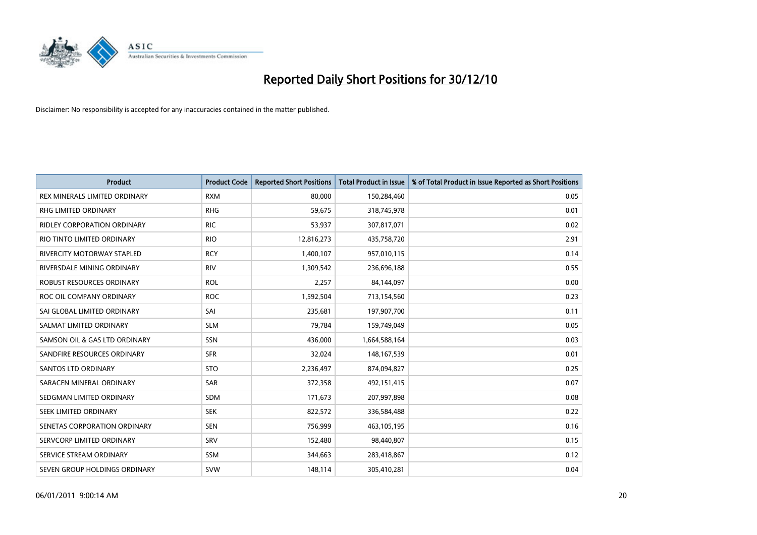

| <b>Product</b>                     | <b>Product Code</b> | <b>Reported Short Positions</b> | <b>Total Product in Issue</b> | % of Total Product in Issue Reported as Short Positions |
|------------------------------------|---------------------|---------------------------------|-------------------------------|---------------------------------------------------------|
| REX MINERALS LIMITED ORDINARY      | <b>RXM</b>          | 80,000                          | 150,284,460                   | 0.05                                                    |
| RHG LIMITED ORDINARY               | <b>RHG</b>          | 59,675                          | 318,745,978                   | 0.01                                                    |
| <b>RIDLEY CORPORATION ORDINARY</b> | <b>RIC</b>          | 53,937                          | 307,817,071                   | 0.02                                                    |
| RIO TINTO LIMITED ORDINARY         | <b>RIO</b>          | 12,816,273                      | 435,758,720                   | 2.91                                                    |
| RIVERCITY MOTORWAY STAPLED         | <b>RCY</b>          | 1,400,107                       | 957,010,115                   | 0.14                                                    |
| RIVERSDALE MINING ORDINARY         | <b>RIV</b>          | 1,309,542                       | 236,696,188                   | 0.55                                                    |
| ROBUST RESOURCES ORDINARY          | <b>ROL</b>          | 2,257                           | 84,144,097                    | 0.00                                                    |
| ROC OIL COMPANY ORDINARY           | <b>ROC</b>          | 1,592,504                       | 713,154,560                   | 0.23                                                    |
| SAI GLOBAL LIMITED ORDINARY        | SAI                 | 235,681                         | 197,907,700                   | 0.11                                                    |
| SALMAT LIMITED ORDINARY            | <b>SLM</b>          | 79,784                          | 159,749,049                   | 0.05                                                    |
| SAMSON OIL & GAS LTD ORDINARY      | SSN                 | 436,000                         | 1,664,588,164                 | 0.03                                                    |
| SANDFIRE RESOURCES ORDINARY        | <b>SFR</b>          | 32,024                          | 148, 167, 539                 | 0.01                                                    |
| <b>SANTOS LTD ORDINARY</b>         | <b>STO</b>          | 2,236,497                       | 874,094,827                   | 0.25                                                    |
| SARACEN MINERAL ORDINARY           | SAR                 | 372,358                         | 492,151,415                   | 0.07                                                    |
| SEDGMAN LIMITED ORDINARY           | <b>SDM</b>          | 171,673                         | 207,997,898                   | 0.08                                                    |
| SEEK LIMITED ORDINARY              | <b>SEK</b>          | 822,572                         | 336,584,488                   | 0.22                                                    |
| SENETAS CORPORATION ORDINARY       | SEN                 | 756,999                         | 463,105,195                   | 0.16                                                    |
| SERVCORP LIMITED ORDINARY          | SRV                 | 152,480                         | 98,440,807                    | 0.15                                                    |
| SERVICE STREAM ORDINARY            | <b>SSM</b>          | 344,663                         | 283,418,867                   | 0.12                                                    |
| SEVEN GROUP HOLDINGS ORDINARY      | <b>SVW</b>          | 148,114                         | 305,410,281                   | 0.04                                                    |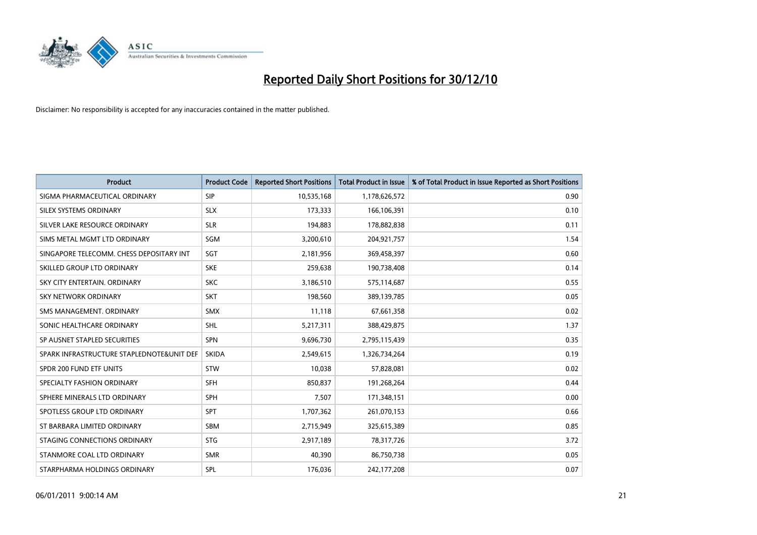

| <b>Product</b>                            | <b>Product Code</b> | <b>Reported Short Positions</b> | <b>Total Product in Issue</b> | % of Total Product in Issue Reported as Short Positions |
|-------------------------------------------|---------------------|---------------------------------|-------------------------------|---------------------------------------------------------|
| SIGMA PHARMACEUTICAL ORDINARY             | <b>SIP</b>          | 10,535,168                      | 1,178,626,572                 | 0.90                                                    |
| SILEX SYSTEMS ORDINARY                    | <b>SLX</b>          | 173,333                         | 166,106,391                   | 0.10                                                    |
| SILVER LAKE RESOURCE ORDINARY             | <b>SLR</b>          | 194,883                         | 178,882,838                   | 0.11                                                    |
| SIMS METAL MGMT LTD ORDINARY              | SGM                 | 3,200,610                       | 204,921,757                   | 1.54                                                    |
| SINGAPORE TELECOMM. CHESS DEPOSITARY INT  | SGT                 | 2,181,956                       | 369,458,397                   | 0.60                                                    |
| SKILLED GROUP LTD ORDINARY                | <b>SKE</b>          | 259,638                         | 190,738,408                   | 0.14                                                    |
| SKY CITY ENTERTAIN, ORDINARY              | <b>SKC</b>          | 3,186,510                       | 575,114,687                   | 0.55                                                    |
| <b>SKY NETWORK ORDINARY</b>               | <b>SKT</b>          | 198,560                         | 389,139,785                   | 0.05                                                    |
| SMS MANAGEMENT, ORDINARY                  | <b>SMX</b>          | 11,118                          | 67,661,358                    | 0.02                                                    |
| SONIC HEALTHCARE ORDINARY                 | <b>SHL</b>          | 5,217,311                       | 388,429,875                   | 1.37                                                    |
| SP AUSNET STAPLED SECURITIES              | <b>SPN</b>          | 9,696,730                       | 2,795,115,439                 | 0.35                                                    |
| SPARK INFRASTRUCTURE STAPLEDNOTE&UNIT DEF | <b>SKIDA</b>        | 2,549,615                       | 1,326,734,264                 | 0.19                                                    |
| SPDR 200 FUND ETF UNITS                   | <b>STW</b>          | 10.038                          | 57,828,081                    | 0.02                                                    |
| SPECIALTY FASHION ORDINARY                | <b>SFH</b>          | 850.837                         | 191,268,264                   | 0.44                                                    |
| SPHERE MINERALS LTD ORDINARY              | <b>SPH</b>          | 7,507                           | 171,348,151                   | 0.00                                                    |
| SPOTLESS GROUP LTD ORDINARY               | <b>SPT</b>          | 1,707,362                       | 261,070,153                   | 0.66                                                    |
| ST BARBARA LIMITED ORDINARY               | <b>SBM</b>          | 2,715,949                       | 325,615,389                   | 0.85                                                    |
| STAGING CONNECTIONS ORDINARY              | <b>STG</b>          | 2,917,189                       | 78,317,726                    | 3.72                                                    |
| STANMORE COAL LTD ORDINARY                | <b>SMR</b>          | 40,390                          | 86,750,738                    | 0.05                                                    |
| STARPHARMA HOLDINGS ORDINARY              | SPL                 | 176,036                         | 242,177,208                   | 0.07                                                    |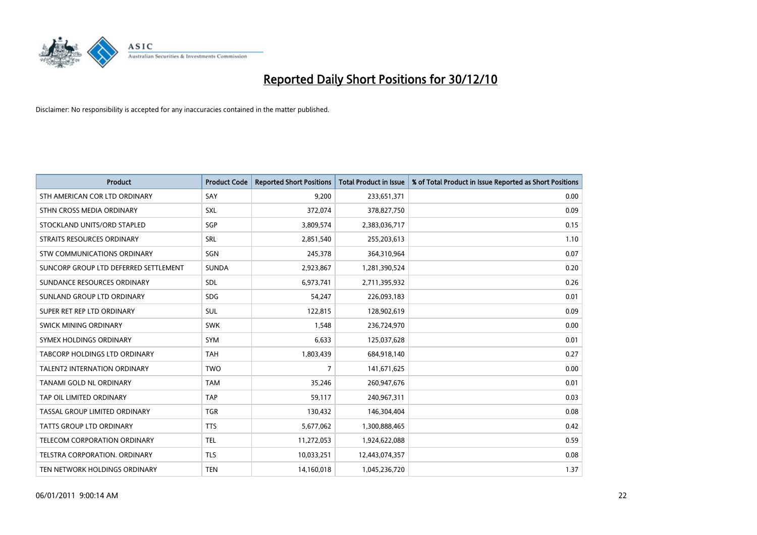

| <b>Product</b>                        | <b>Product Code</b> | <b>Reported Short Positions</b> | <b>Total Product in Issue</b> | % of Total Product in Issue Reported as Short Positions |
|---------------------------------------|---------------------|---------------------------------|-------------------------------|---------------------------------------------------------|
| STH AMERICAN COR LTD ORDINARY         | SAY                 | 9,200                           | 233,651,371                   | 0.00                                                    |
| STHN CROSS MEDIA ORDINARY             | <b>SXL</b>          | 372,074                         | 378,827,750                   | 0.09                                                    |
| STOCKLAND UNITS/ORD STAPLED           | SGP                 | 3,809,574                       | 2,383,036,717                 | 0.15                                                    |
| STRAITS RESOURCES ORDINARY            | <b>SRL</b>          | 2,851,540                       | 255,203,613                   | 1.10                                                    |
| STW COMMUNICATIONS ORDINARY           | SGN                 | 245,378                         | 364,310,964                   | 0.07                                                    |
| SUNCORP GROUP LTD DEFERRED SETTLEMENT | <b>SUNDA</b>        | 2,923,867                       | 1,281,390,524                 | 0.20                                                    |
| SUNDANCE RESOURCES ORDINARY           | <b>SDL</b>          | 6,973,741                       | 2,711,395,932                 | 0.26                                                    |
| SUNLAND GROUP LTD ORDINARY            | <b>SDG</b>          | 54,247                          | 226,093,183                   | 0.01                                                    |
| SUPER RET REP LTD ORDINARY            | <b>SUL</b>          | 122,815                         | 128,902,619                   | 0.09                                                    |
| SWICK MINING ORDINARY                 | <b>SWK</b>          | 1,548                           | 236,724,970                   | 0.00                                                    |
| SYMEX HOLDINGS ORDINARY               | SYM                 | 6,633                           | 125,037,628                   | 0.01                                                    |
| TABCORP HOLDINGS LTD ORDINARY         | <b>TAH</b>          | 1,803,439                       | 684,918,140                   | 0.27                                                    |
| TALENT2 INTERNATION ORDINARY          | <b>TWO</b>          | 7                               | 141,671,625                   | 0.00                                                    |
| <b>TANAMI GOLD NL ORDINARY</b>        | <b>TAM</b>          | 35,246                          | 260,947,676                   | 0.01                                                    |
| TAP OIL LIMITED ORDINARY              | TAP                 | 59,117                          | 240,967,311                   | 0.03                                                    |
| TASSAL GROUP LIMITED ORDINARY         | <b>TGR</b>          | 130,432                         | 146,304,404                   | 0.08                                                    |
| TATTS GROUP LTD ORDINARY              | <b>TTS</b>          | 5,677,062                       | 1,300,888,465                 | 0.42                                                    |
| TELECOM CORPORATION ORDINARY          | <b>TEL</b>          | 11,272,053                      | 1,924,622,088                 | 0.59                                                    |
| <b>TELSTRA CORPORATION, ORDINARY</b>  | <b>TLS</b>          | 10,033,251                      | 12,443,074,357                | 0.08                                                    |
| TEN NETWORK HOLDINGS ORDINARY         | <b>TEN</b>          | 14,160,018                      | 1,045,236,720                 | 1.37                                                    |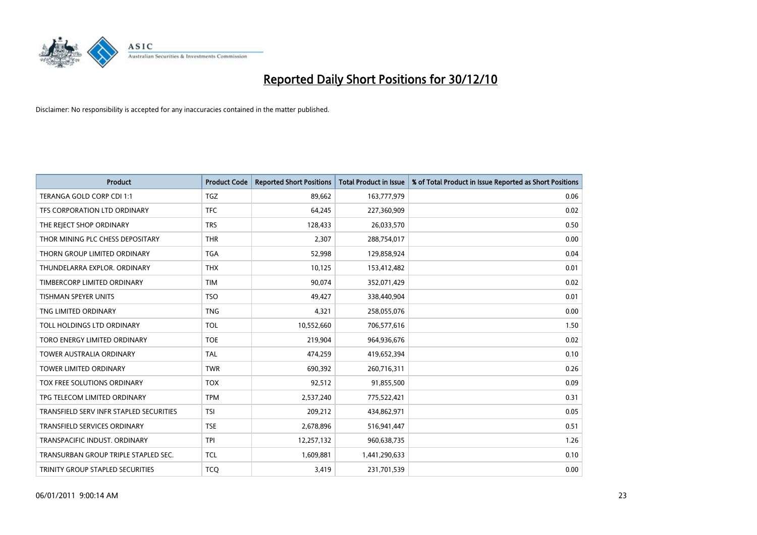

| <b>Product</b>                          | <b>Product Code</b> | <b>Reported Short Positions</b> | <b>Total Product in Issue</b> | % of Total Product in Issue Reported as Short Positions |
|-----------------------------------------|---------------------|---------------------------------|-------------------------------|---------------------------------------------------------|
| TERANGA GOLD CORP CDI 1:1               | <b>TGZ</b>          | 89,662                          | 163,777,979                   | 0.06                                                    |
| TFS CORPORATION LTD ORDINARY            | <b>TFC</b>          | 64,245                          | 227,360,909                   | 0.02                                                    |
| THE REJECT SHOP ORDINARY                | <b>TRS</b>          | 128,433                         | 26,033,570                    | 0.50                                                    |
| THOR MINING PLC CHESS DEPOSITARY        | <b>THR</b>          | 2,307                           | 288,754,017                   | 0.00                                                    |
| THORN GROUP LIMITED ORDINARY            | <b>TGA</b>          | 52,998                          | 129,858,924                   | 0.04                                                    |
| THUNDELARRA EXPLOR. ORDINARY            | <b>THX</b>          | 10,125                          | 153,412,482                   | 0.01                                                    |
| TIMBERCORP LIMITED ORDINARY             | <b>TIM</b>          | 90.074                          | 352,071,429                   | 0.02                                                    |
| <b>TISHMAN SPEYER UNITS</b>             | <b>TSO</b>          | 49,427                          | 338,440,904                   | 0.01                                                    |
| TNG LIMITED ORDINARY                    | <b>TNG</b>          | 4,321                           | 258,055,076                   | 0.00                                                    |
| TOLL HOLDINGS LTD ORDINARY              | TOL                 | 10,552,660                      | 706,577,616                   | 1.50                                                    |
| TORO ENERGY LIMITED ORDINARY            | <b>TOE</b>          | 219,904                         | 964,936,676                   | 0.02                                                    |
| <b>TOWER AUSTRALIA ORDINARY</b>         | <b>TAL</b>          | 474,259                         | 419,652,394                   | 0.10                                                    |
| <b>TOWER LIMITED ORDINARY</b>           | <b>TWR</b>          | 690,392                         | 260,716,311                   | 0.26                                                    |
| TOX FREE SOLUTIONS ORDINARY             | <b>TOX</b>          | 92,512                          | 91,855,500                    | 0.09                                                    |
| TPG TELECOM LIMITED ORDINARY            | <b>TPM</b>          | 2,537,240                       | 775,522,421                   | 0.31                                                    |
| TRANSFIELD SERV INFR STAPLED SECURITIES | <b>TSI</b>          | 209,212                         | 434,862,971                   | 0.05                                                    |
| TRANSFIELD SERVICES ORDINARY            | <b>TSE</b>          | 2,678,896                       | 516,941,447                   | 0.51                                                    |
| TRANSPACIFIC INDUST, ORDINARY           | <b>TPI</b>          | 12,257,132                      | 960,638,735                   | 1.26                                                    |
| TRANSURBAN GROUP TRIPLE STAPLED SEC.    | <b>TCL</b>          | 1,609,881                       | 1,441,290,633                 | 0.10                                                    |
| TRINITY GROUP STAPLED SECURITIES        | <b>TCQ</b>          | 3,419                           | 231,701,539                   | 0.00                                                    |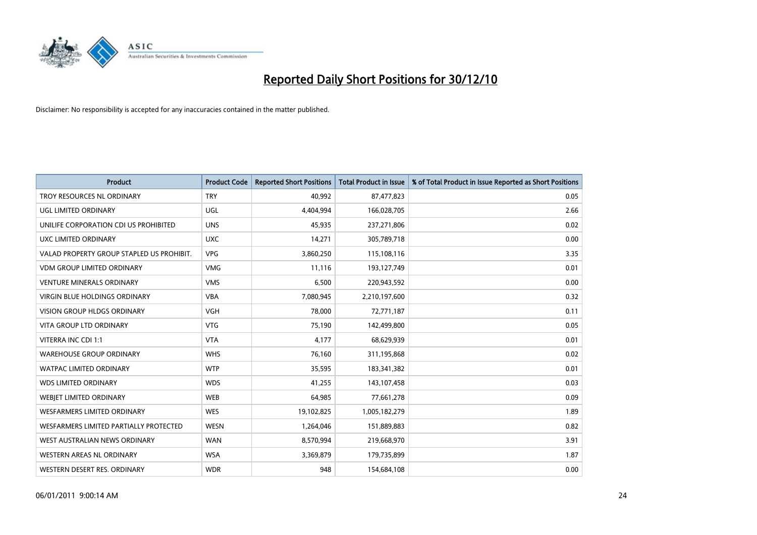

| <b>Product</b>                            | <b>Product Code</b> | <b>Reported Short Positions</b> | <b>Total Product in Issue</b> | % of Total Product in Issue Reported as Short Positions |
|-------------------------------------------|---------------------|---------------------------------|-------------------------------|---------------------------------------------------------|
| TROY RESOURCES NL ORDINARY                | <b>TRY</b>          | 40,992                          | 87,477,823                    | 0.05                                                    |
| UGL LIMITED ORDINARY                      | UGL                 | 4,404,994                       | 166,028,705                   | 2.66                                                    |
| UNILIFE CORPORATION CDI US PROHIBITED     | <b>UNS</b>          | 45,935                          | 237,271,806                   | 0.02                                                    |
| UXC LIMITED ORDINARY                      | <b>UXC</b>          | 14,271                          | 305,789,718                   | 0.00                                                    |
| VALAD PROPERTY GROUP STAPLED US PROHIBIT. | <b>VPG</b>          | 3,860,250                       | 115,108,116                   | 3.35                                                    |
| <b>VDM GROUP LIMITED ORDINARY</b>         | <b>VMG</b>          | 11,116                          | 193,127,749                   | 0.01                                                    |
| <b>VENTURE MINERALS ORDINARY</b>          | <b>VMS</b>          | 6,500                           | 220,943,592                   | 0.00                                                    |
| VIRGIN BLUE HOLDINGS ORDINARY             | <b>VBA</b>          | 7,080,945                       | 2,210,197,600                 | 0.32                                                    |
| <b>VISION GROUP HLDGS ORDINARY</b>        | <b>VGH</b>          | 78,000                          | 72,771,187                    | 0.11                                                    |
| <b>VITA GROUP LTD ORDINARY</b>            | <b>VTG</b>          | 75,190                          | 142,499,800                   | 0.05                                                    |
| VITERRA INC CDI 1:1                       | <b>VTA</b>          | 4,177                           | 68,629,939                    | 0.01                                                    |
| <b>WAREHOUSE GROUP ORDINARY</b>           | <b>WHS</b>          | 76,160                          | 311,195,868                   | 0.02                                                    |
| <b>WATPAC LIMITED ORDINARY</b>            | <b>WTP</b>          | 35,595                          | 183,341,382                   | 0.01                                                    |
| <b>WDS LIMITED ORDINARY</b>               | <b>WDS</b>          | 41,255                          | 143,107,458                   | 0.03                                                    |
| WEBJET LIMITED ORDINARY                   | <b>WEB</b>          | 64,985                          | 77,661,278                    | 0.09                                                    |
| <b>WESFARMERS LIMITED ORDINARY</b>        | <b>WES</b>          | 19,102,825                      | 1,005,182,279                 | 1.89                                                    |
| WESFARMERS LIMITED PARTIALLY PROTECTED    | <b>WESN</b>         | 1,264,046                       | 151,889,883                   | 0.82                                                    |
| WEST AUSTRALIAN NEWS ORDINARY             | <b>WAN</b>          | 8,570,994                       | 219,668,970                   | 3.91                                                    |
| WESTERN AREAS NL ORDINARY                 | <b>WSA</b>          | 3,369,879                       | 179,735,899                   | 1.87                                                    |
| WESTERN DESERT RES. ORDINARY              | <b>WDR</b>          | 948                             | 154,684,108                   | 0.00                                                    |